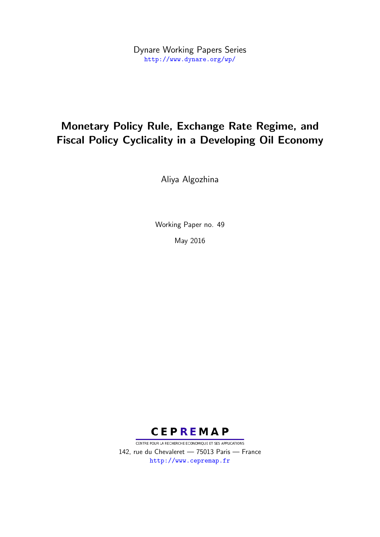Dynare Working Papers Series <http://www.dynare.org/wp/>

## Monetary Policy Rule, Exchange Rate Regime, and Fiscal Policy Cyclicality in a Developing Oil Economy

Aliya Algozhina

Working Paper no. 49

May 2016



CENTRE POUR LA RECHERCHE ECONOMIQUE ET SES APPLICATIONS 142, rue du Chevaleret — 75013 Paris — France <http://www.cepremap.fr>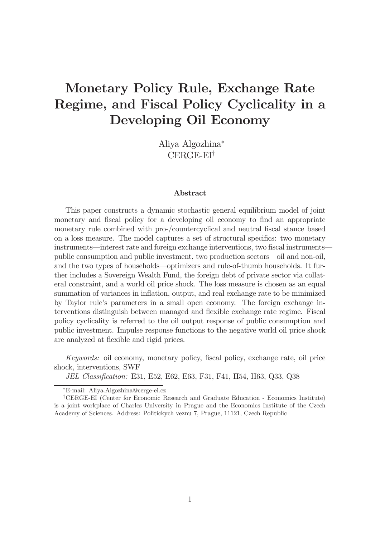# Monetary Policy Rule, Exchange Rate Regime, and Fiscal Policy Cyclicality in a Developing Oil Economy

Aliya Algozhina CERGE-EI†

#### Abstract

This paper constructs a dynamic stochastic general equilibrium model of joint monetary and fiscal policy for a developing oil economy to find an appropriate monetary rule combined with pro-/countercyclical and neutral fiscal stance based on a loss measure. The model captures a set of structural specifics: two monetary instruments—interest rate and foreign exchange interventions, two fiscal instrumentspublic consumption and public investment, two production sectors–oil and non-oil, and the two types of households–optimizers and rule-of-thumb households. It further includes a Sovereign Wealth Fund, the foreign debt of private sector via collateral constraint, and a world oil price shock. The loss measure is chosen as an equal summation of variances in inflation, output, and real exchange rate to be minimized by Taylor rule's parameters in a small open economy. The foreign exchange interventions distinguish between managed and flexible exchange rate regime. Fiscal policy cyclicality is referred to the oil output response of public consumption and public investment. Impulse response functions to the negative world oil price shock are analyzed at flexible and rigid prices.

Keywords: oil economy, monetary policy, fiscal policy, exchange rate, oil price shock, interventions, SWF

JEL Classification: E31, E52, E62, E63, F31, F41, H54, H63, Q33, Q38

E-mail: Aliya.Algozhina@cerge-ei.cz

<sup>†</sup>CERGE-EI (Center for Economic Research and Graduate Education - Economics Institute) is a joint workplace of Charles University in Prague and the Economics Institute of the Czech Academy of Sciences. Address: Politickych veznu 7, Prague, 11121, Czech Republic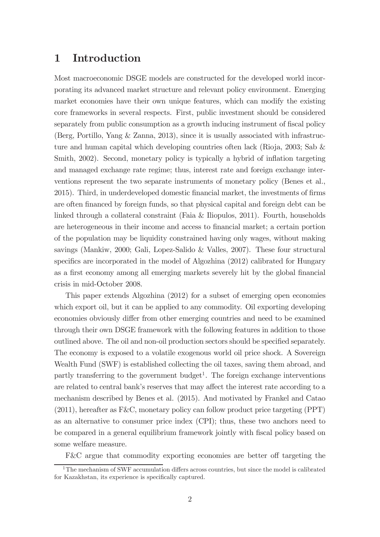### 1 Introduction

Most macroeconomic DSGE models are constructed for the developed world incorporating its advanced market structure and relevant policy environment. Emerging market economies have their own unique features, which can modify the existing core frameworks in several respects. First, public investment should be considered separately from public consumption as a growth inducing instrument of fiscal policy (Berg, Portillo, Yang & Zanna, 2013), since it is usually associated with infrastructure and human capital which developing countries often lack (Rioja, 2003; Sab & Smith, 2002). Second, monetary policy is typically a hybrid of inflation targeting and managed exchange rate regime; thus, interest rate and foreign exchange interventions represent the two separate instruments of monetary policy (Benes et al., 2015). Third, in underdeveloped domestic financial market, the investments of firms are often financed by foreign funds, so that physical capital and foreign debt can be linked through a collateral constraint (Faia & Iliopulos, 2011). Fourth, households are heterogeneous in their income and access to financial market; a certain portion of the population may be liquidity constrained having only wages, without making savings (Mankiw, 2000; Gali, Lopez-Salido & Valles, 2007). These four structural specifics are incorporated in the model of Algozhina (2012) calibrated for Hungary as a first economy among all emerging markets severely hit by the global financial crisis in mid-October 2008.

This paper extends Algozhina (2012) for a subset of emerging open economies which export oil, but it can be applied to any commodity. Oil exporting developing economies obviously differ from other emerging countries and need to be examined through their own DSGE framework with the following features in addition to those outlined above. The oil and non-oil production sectors should be specified separately. The economy is exposed to a volatile exogenous world oil price shock. A Sovereign Wealth Fund (SWF) is established collecting the oil taxes, saving them abroad, and partly transferring to the government budget<sup>1</sup>. The foreign exchange interventions are related to central bank's reserves that may affect the interest rate according to a mechanism described by Benes et al. (2015). And motivated by Frankel and Catao (2011), hereafter as F&C, monetary policy can follow product price targeting (PPT) as an alternative to consumer price index (CPI); thus, these two anchors need to be compared in a general equilibrium framework jointly with fiscal policy based on some welfare measure.

 $F&C$  argue that commodity exporting economies are better off targeting the

 $1$ <sup>1</sup>The mechanism of SWF accumulation differs across countries, but since the model is calibrated for Kazakhstan, its experience is specifically captured.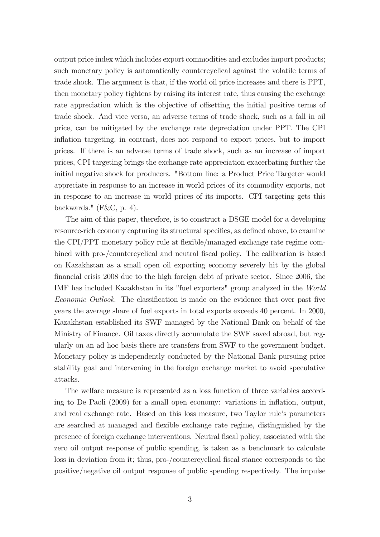output price index which includes export commodities and excludes import products; such monetary policy is automatically countercyclical against the volatile terms of trade shock. The argument is that, if the world oil price increases and there is PPT, then monetary policy tightens by raising its interest rate, thus causing the exchange rate appreciation which is the objective of offsetting the initial positive terms of trade shock. And vice versa, an adverse terms of trade shock, such as a fall in oil price, can be mitigated by the exchange rate depreciation under PPT. The CPI in flation targeting, in contrast, does not respond to export prices, but to import prices. If there is an adverse terms of trade shock, such as an increase of import prices, CPI targeting brings the exchange rate appreciation exacerbating further the initial negative shock for producers. "Bottom line: a Product Price Targeter would appreciate in response to an increase in world prices of its commodity exports, not in response to an increase in world prices of its imports. CPI targeting gets this backwards."  $(F&C, p. 4)$ .

The aim of this paper, therefore, is to construct a DSGE model for a developing resource-rich economy capturing its structural specifics, as defined above, to examine the CPI/PPT monetary policy rule at flexible/managed exchange rate regime combined with pro-/countercyclical and neutral fiscal policy. The calibration is based on Kazakhstan as a small open oil exporting economy severely hit by the global financial crisis 2008 due to the high foreign debt of private sector. Since 2006, the IMF has included Kazakhstan in its "fuel exporters" group analyzed in the World Economic Outlook. The classification is made on the evidence that over past five years the average share of fuel exports in total exports exceeds 40 percent. In 2000, Kazakhstan established its SWF managed by the National Bank on behalf of the Ministry of Finance. Oil taxes directly accumulate the SWF saved abroad, but regularly on an ad hoc basis there are transfers from SWF to the government budget. Monetary policy is independently conducted by the National Bank pursuing price stability goal and intervening in the foreign exchange market to avoid speculative attacks.

The welfare measure is represented as a loss function of three variables according to De Paoli  $(2009)$  for a small open economy: variations in inflation, output, and real exchange rate. Based on this loss measure, two Taylor rule's parameters are searched at managed and flexible exchange rate regime, distinguished by the presence of foreign exchange interventions. Neutral fiscal policy, associated with the zero oil output response of public spending, is taken as a benchmark to calculate loss in deviation from it; thus, pro-/countercyclical fiscal stance corresponds to the positive/negative oil output response of public spending respectively. The impulse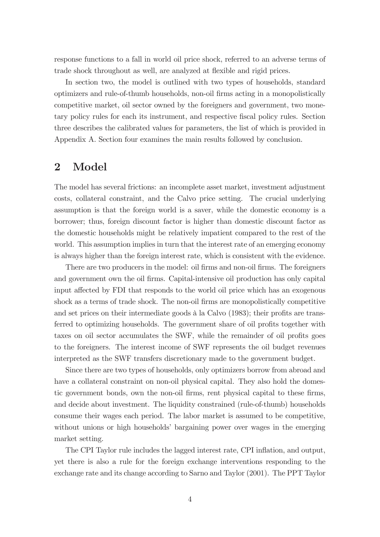response functions to a fall in world oil price shock, referred to an adverse terms of trade shock throughout as well, are analyzed at flexible and rigid prices.

In section two, the model is outlined with two types of households, standard optimizers and rule-of-thumb households, non-oil firms acting in a monopolistically competitive market, oil sector owned by the foreigners and government, two monetary policy rules for each its instrument, and respective fiscal policy rules. Section three describes the calibrated values for parameters, the list of which is provided in Appendix A. Section four examines the main results followed by conclusion.

### 2 Model

The model has several frictions: an incomplete asset market, investment adjustment costs, collateral constraint, and the Calvo price setting. The crucial underlying assumption is that the foreign world is a saver, while the domestic economy is a borrower; thus, foreign discount factor is higher than domestic discount factor as the domestic households might be relatively impatient compared to the rest of the world. This assumption implies in turn that the interest rate of an emerging economy is always higher than the foreign interest rate, which is consistent with the evidence.

There are two producers in the model: oil firms and non-oil firms. The foreigners and government own the oil firms. Capital-intensive oil production has only capital input affected by FDI that responds to the world oil price which has an exogenous shock as a terms of trade shock. The non-oil firms are monopolistically competitive and set prices on their intermediate goods à la Calvo (1983); their profits are transferred to optimizing households. The government share of oil profits together with taxes on oil sector accumulates the SWF, while the remainder of oil profits goes to the foreigners. The interest income of SWF represents the oil budget revenues interpreted as the SWF transfers discretionary made to the government budget.

Since there are two types of households, only optimizers borrow from abroad and have a collateral constraint on non-oil physical capital. They also hold the domestic government bonds, own the non-oil firms, rent physical capital to these firms, and decide about investment. The liquidity constrained (rule-of-thumb) households consume their wages each period. The labor market is assumed to be competitive, without unions or high households' bargaining power over wages in the emerging market setting.

The CPI Taylor rule includes the lagged interest rate, CPI inflation, and output, yet there is also a rule for the foreign exchange interventions responding to the exchange rate and its change according to Sarno and Taylor (2001). The PPT Taylor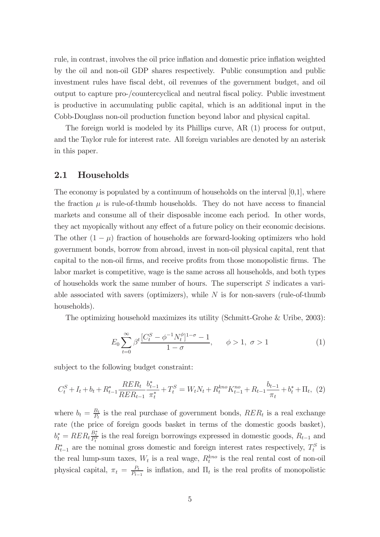rule, in contrast, involves the oil price inflation and domestic price inflation weighted by the oil and non-oil GDP shares respectively. Public consumption and public investment rules have fiscal debt, oil revenues of the government budget, and oil output to capture pro-/countercyclical and neutral fiscal policy. Public investment is productive in accumulating public capital, which is an additional input in the Cobb-Douglass non-oil production function beyond labor and physical capital.

The foreign world is modeled by its Phillips curve, AR (1) process for output, and the Taylor rule for interest rate. All foreign variables are denoted by an asterisk in this paper.

#### 2.1 Households

The economy is populated by a continuum of households on the interval  $[0,1]$ , where the fraction  $\mu$  is rule-of-thumb households. They do not have access to financial markets and consume all of their disposable income each period. In other words, they act myopically without any effect of a future policy on their economic decisions. The other  $(1 - \mu)$  fraction of households are forward-looking optimizers who hold government bonds, borrow from abroad, invest in non-oil physical capital, rent that capital to the non-oil firms, and receive profits from those monopolistic firms. The labor market is competitive, wage is the same across all households, and both types of households work the same number of hours. The superscript  $S$  indicates a variable associated with savers (optimizers), while  $N$  is for non-savers (rule-of-thumb households).

The optimizing household maximizes its utility (Schmitt-Grohe & Uribe, 2003):

$$
E_0 \sum_{t=0}^{\infty} \beta^t \frac{[C_t^S - \phi^{-1} N_t^{\phi}]^{1-\sigma} - 1}{1 - \sigma}, \qquad \phi > 1, \ \sigma > 1 \tag{1}
$$

subject to the following budget constraint:

$$
C_t^S + I_t + b_t + R_{t-1}^* \frac{RER_t}{RER_{t-1}} \frac{b_{t-1}^*}{\pi_t^*} + T_t^S = W_t N_t + R_t^{kno} K_{t-1}^{no} + R_{t-1} \frac{b_{t-1}}{\pi_t} + b_t^* + \Pi_t, \tag{2}
$$

where  $b_t = \frac{B_t}{P_t}$  is the real purchase of government bonds,  $RER_t$  is a real exchange rate (the price of foreign goods basket in terms of the domestic goods basket),  $b_t^* = RER_t \frac{B_t^*}{P_t^*}$  is the real foreign borrowings expressed in domestic goods,  $R_{t-1}$  and  $R_{t-1}^*$  are the nominal gross domestic and foreign interest rates respectively,  $T_t^S$  is the real lump-sum taxes,  $W_t$  is a real wage,  $R_t^{kno}$  is the real rental cost of non-oil physical capital,  $\pi_t = \frac{P_t}{P_{t-1}}$  is inflation, and  $\Pi_t$  is the real profits of monopolistic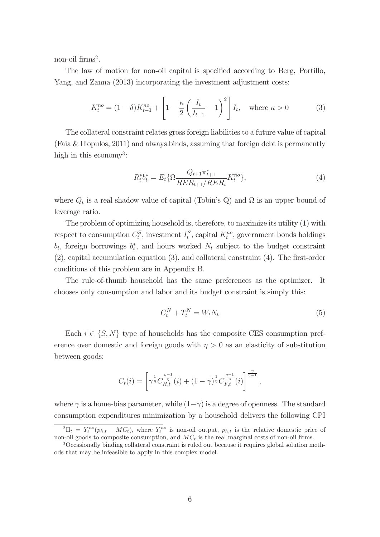non-oil  $\text{firms}^2$ .

The law of motion for non-oil capital is specified according to Berg, Portillo, Yang, and Zanna (2013) incorporating the investment adjustment costs:

$$
K_t^{no} = (1 - \delta)K_{t-1}^{no} + \left[1 - \frac{\kappa}{2} \left(\frac{I_t}{I_{t-1}} - 1\right)^2\right] I_t, \text{ where } \kappa > 0 \tag{3}
$$

The collateral constraint relates gross foreign liabilities to a future value of capital (Faia & Iliopulos, 2011) and always binds, assuming that foreign debt is permanently high in this economy<sup>3</sup>:

$$
R_t^* b_t^* = E_t \{ \Omega \frac{Q_{t+1} \pi_{t+1}^*}{R E R_{t+1} / R E R_t} K_t^{no} \},\tag{4}
$$

where  $Q_t$  is a real shadow value of capital (Tobin's Q) and  $\Omega$  is an upper bound of leverage ratio.

The problem of optimizing household is, therefore, to maximize its utility (1) with respect to consumption  $C_t^S$ , investment  $I_t^S$ , capital  $K_t^{no}$ , government bonds holdings  $b_t$ , foreign borrowings  $b_t^*$ , and hours worked  $N_t$  subject to the budget constraint  $(2)$ , capital accumulation equation  $(3)$ , and collateral constraint  $(4)$ . The first-order conditions of this problem are in Appendix B.

The rule-of-thumb household has the same preferences as the optimizer. It chooses only consumption and labor and its budget constraint is simply this:

$$
C_t^N + T_t^N = W_t N_t \tag{5}
$$

>

Each  $i \in \{S, N\}$  type of households has the composite CES consumption preference over domestic and foreign goods with  $\eta > 0$  as an elasticity of substitution between goods:

$$
C_t(i) = \left[\gamma^{\frac{1}{\eta}} C_{H,t}^{\frac{\eta-1}{\eta}}(i) + (1-\gamma)^{\frac{1}{\eta}} C_{F,t}^{\frac{\eta-1}{\eta}}(i)\right]^{\frac{\eta}{\eta-1}}
$$

where  $\gamma$  is a home-bias parameter, while  $(1-\gamma)$  is a degree of openness. The standard consumption expenditures minimization by a household delivers the following CPI

 ${}^{2}\Pi_{t} = Y_{t}^{no}(p_{h,t} - MC_{t}),$  where  $Y_{t}^{no}$  is non-oil output,  $p_{h,t}$  is the relative domestic price of non-oil goods to composite consumption, and  $MC<sub>t</sub>$  is the real marginal costs of non-oil firms.

<sup>3</sup>Occasionally binding collateral constraint is ruled out because it requires global solution methods that may be infeasible to apply in this complex model.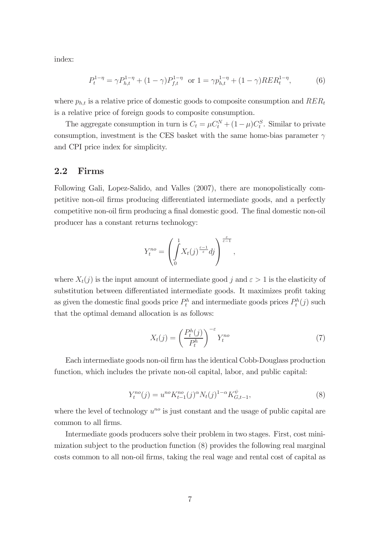index:

$$
P_t^{1-\eta} = \gamma P_{h,t}^{1-\eta} + (1-\gamma) P_{f,t}^{1-\eta} \quad \text{or} \quad 1 = \gamma p_{h,t}^{1-\eta} + (1-\gamma) R E R_t^{1-\eta}, \tag{6}
$$

where  $p_{h,t}$  is a relative price of domestic goods to composite consumption and  $RER_t$ is a relative price of foreign goods to composite consumption.

The aggregate consumption in turn is  $C_t = \mu C_t^N + (1 - \mu)C_t^S$ . Similar to private consumption, investment is the CES basket with the same home-bias parameter  $\gamma$ and CPI price index for simplicity.

#### 2.2 Firms

Following Gali, Lopez-Salido, and Valles (2007), there are monopolistically competitive non-oil firms producing differentiated intermediate goods, and a perfectly competitive non-oil firm producing a final domestic good. The final domestic non-oil producer has a constant returns technology:

$$
Y_t^{no} = \left(\int\limits_0^1 X_t(j)^{\frac{\varepsilon-1}{\varepsilon}} dj\right)^{\frac{\varepsilon}{\varepsilon-1}},
$$

where  $X_t(j)$  is the input amount of intermediate good j and  $\varepsilon > 1$  is the elasticity of substitution between differentiated intermediate goods. It maximizes profit taking as given the domestic final goods price  $P_t^h$  and intermediate goods prices  $P_t^h(j)$  such that the optimal demand allocation is as follows:

$$
X_t(j) = \left(\frac{P_t^h(j)}{P_t^h}\right)^{-\varepsilon} Y_t^{no}
$$
\n<sup>(7)</sup>

Each intermediate goods non-oil firm has the identical Cobb-Douglass production function, which includes the private non-oil capital, labor, and public capital:

$$
Y_t^{no}(j) = u^{no} K_{t-1}^{no}(j)^{\alpha} N_t(j)^{1-\alpha} K_{G,t-1}^{\psi}, \tag{8}
$$

where the level of technology  $u^{no}$  is just constant and the usage of public capital are common to all firms.

Intermediate goods producers solve their problem in two stages. First, cost minimization subject to the production function (8) provides the following real marginal costs common to all non-oil firms, taking the real wage and rental cost of capital as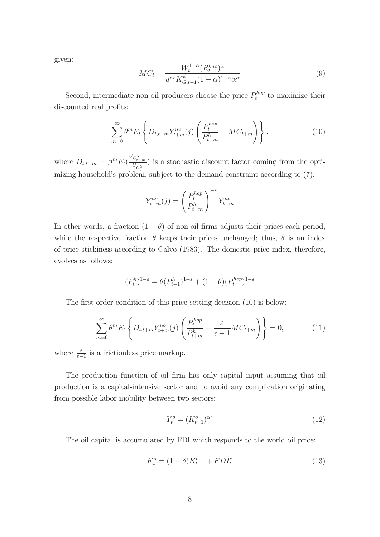given:

$$
MC_t = \frac{W_t^{1-\alpha}(R_t^{kno})^{\alpha}}{u^{no}K_{G,t-1}^{\psi}(1-\alpha)^{1-\alpha}\alpha^{\alpha}}
$$
\n
$$
(9)
$$

Second, intermediate non-oil producers choose the price  $P_t^{hop}$  to maximize their discounted real profits:

$$
\sum_{m=0}^{\infty} \theta^m E_t \left\{ D_{t,t+m} Y_{t+m}^{no}(j) \left( \frac{P_t^{hop}}{P_{t+m}^h} - MC_{t+m} \right) \right\},
$$
\n(10)

where  $D_{t,t+m} = \beta^m E_t \left( \frac{U_{C_{t+m}^S}}{U_{C_t^S}} \right)$ ) is a stochastic discount factor coming from the optimizing household's problem, subject to the demand constraint according to (7):

$$
Y_{t+m}^{no}(j) = \left(\frac{P_t^{hop}}{P_{t+m}^h}\right)^{-\varepsilon} Y_{t+m}^{no}
$$

In other words, a fraction  $(1 - \theta)$  of non-oil firms adjusts their prices each period, while the respective fraction  $\theta$  keeps their prices unchanged; thus,  $\theta$  is an index of price stickiness according to Calvo (1983). The domestic price index, therefore, evolves as follows:

$$
(P_t^h)^{1-\varepsilon}=\theta(P_{t-1}^h)^{1-\varepsilon}+(1-\theta)(P_t^{hop})^{1-\varepsilon}
$$

The first-order condition of this price setting decision  $(10)$  is below:

$$
\sum_{m=0}^{\infty} \theta^m E_t \left\{ D_{t,t+m} Y_{t+m}^{no}(j) \left( \frac{P_t^{hop}}{P_{t+m}^h} - \frac{\varepsilon}{\varepsilon - 1} M C_{t+m} \right) \right\} = 0, \tag{11}
$$

where  $\frac{\varepsilon}{\varepsilon - 1}$  is a frictionless price markup.

The production function of oil firm has only capital input assuming that oil production is a capital-intensive sector and to avoid any complication originating from possible labor mobility between two sectors:

$$
Y_t^o = (K_{t-1}^o)^{\alpha^o} \tag{12}
$$

The oil capital is accumulated by FDI which responds to the world oil price:

$$
K_t^o = (1 - \delta)K_{t-1}^o + FDI_t^*
$$
\n(13)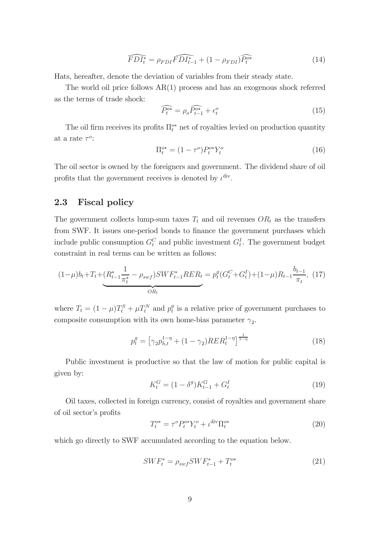$$
\widehat{FDI_t^*} = \rho_{FDI} \widehat{FDI_{t-1}^*} + (1 - \rho_{FDI}) \widehat{P_t^{o*}} \tag{14}
$$

Hats, hereafter, denote the deviation of variables from their steady state.

The world oil price follows AR(1) process and has an exogenous shock referred as the terms of trade shock:

$$
\widehat{P_t^{o*}} = \rho_o \widehat{P_{t-1}^{o*}} + \epsilon_t^o \tag{15}
$$

The oil firm receives its profits  $\Pi_t^{\sigma*}$  net of royalties levied on production quantity at a rate  $\tau^o$ :

$$
\Pi_t^{o*} = (1 - \tau^o) P_t^{o*} Y_t^o \tag{16}
$$

The oil sector is owned by the foreigners and government. The dividend share of oil profits that the government receives is denoted by  $\iota^{\text{div}}$ .

#### 2.3 Fiscal policy

The government collects lump-sum taxes  $T_t$  and oil revenues  $OR_t$  as the transfers from SWF. It issues one-period bonds to finance the government purchases which include public consumption  $G_t^C$  and public investment  $G_t^I$ . The government budget constraint in real terms can be written as follows:

$$
(1 - \mu)b_t + T_t + \underbrace{(R_{t-1}^* \frac{1}{\pi_t^*} - \rho_{swf})SWF_{t-1}^*RER_t}_{OR_t} = p_t^g(G_t^C + G_t^I) + (1 - \mu)R_{t-1} \frac{b_{t-1}}{\pi_t}, \tag{17}
$$

where  $T_t = (1 - \mu)T_t^S + \mu T_t^N$  and  $p_t^g$  is a relative price of government purchases to composite consumption with its own home-bias parameter  $\gamma_2$ .

$$
p_t^g = \left[ \gamma_2 p_{h,t}^{1-\eta} + (1-\gamma_2) R E R_t^{1-\eta} \right]^{\frac{1}{1-\eta}}
$$
(18)

Public investment is productive so that the law of motion for public capital is given by:

$$
K_t^G = (1 - \delta^g)K_{t-1}^G + G_t^I
$$
\n(19)

Oil taxes, collected in foreign currency, consist of royalties and government share of oil sector's profits

$$
T_t^{o*} = \tau^o P_t^{o*} Y_t^o + \iota^{\text{div}} \Pi_t^{o*}
$$
\n
$$
(20)
$$

which go directly to SWF accumulated according to the equation below.

$$
SWF_t^* = \rho_{swf} SWF_{t-1}^* + T_t^{o*}
$$
\n(21)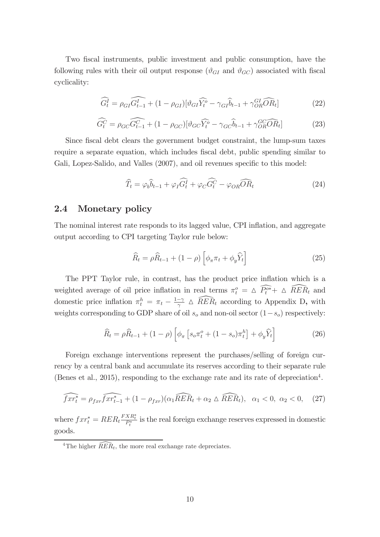Two fiscal instruments, public investment and public consumption, have the following rules with their oil output response  $(\vartheta_{GI}$  and  $\vartheta_{GC})$  associated with fiscal cyclicality:

$$
\widehat{G_t^I} = \rho_{GI} \widehat{G_{t-1}^I} + (1 - \rho_{GI}) [\vartheta_{GI} \widehat{Y_t^o} - \gamma_{GI} \widehat{b}_{t-1} + \gamma_{OR}^{GI} \widehat{OR}_t]
$$
\n(22)

$$
\widehat{G_t^C} = \rho_{GC} \widehat{G_{t-1}^C} + (1 - \rho_{GC}) [\vartheta_{GC} \widehat{Y_t^o} - \gamma_{GC} \widehat{b}_{t-1} + \gamma_{OR}^{GC} \widehat{O} \widehat{R}_t]
$$
(23)

Since fiscal debt clears the government budget constraint, the lump-sum taxes require a separate equation, which includes fiscal debt, public spending similar to Gali, Lopez-Salido, and Valles (2007), and oil revenues specific to this model:

$$
\widehat{T}_t = \varphi_b \widehat{b}_{t-1} + \varphi_I \widehat{G}_t^I + \varphi_C \widehat{G}_t^C - \varphi_{OR} \widehat{O} \widehat{R}_t \tag{24}
$$

#### 2.4 Monetary policy

The nominal interest rate responds to its lagged value, CPI inflation, and aggregate output according to CPI targeting Taylor rule below:

$$
\widehat{R}_t = \rho \widehat{R}_{t-1} + (1 - \rho) \left[ \phi_\pi \pi_t + \phi_y \widehat{Y}_t \right]
$$
\n(25)

The PPT Taylor rule, in contrast, has the product price inflation which is a weighted average of oil price inflation in real terms  $\pi_t^o = \Delta \overline{P_t^{o*}} + \Delta \overline{R} E R_t$  and domestic price inflation  $\pi_t^h = \pi_t - \frac{1-\gamma}{\gamma} \Delta \widehat{RER}_t$  according to Appendix D, with weights corresponding to GDP share of oil  $s_o$  and non-oil sector  $(1-s_o)$  respectively:

$$
\widehat{R}_t = \rho \widehat{R}_{t-1} + (1 - \rho) \left[ \phi_\pi \left[ s_o \pi_t^o + (1 - s_o) \pi_t^h \right] + \phi_y \widehat{Y}_t \right] \tag{26}
$$

Foreign exchange interventions represent the purchases/selling of foreign currency by a central bank and accumulate its reserves according to their separate rule (Benes et al., 2015), responding to the exchange rate and its rate of depreciation<sup>4</sup>.

$$
\widehat{fxr_t^*} = \rho_{fxr}\widehat{fxr_{t-1}^*} + (1 - \rho_{fxr})(\alpha_1\widehat{RER}_t + \alpha_2 \triangle \widehat{RER}_t), \quad \alpha_1 < 0, \ \alpha_2 < 0,\tag{27}
$$

where  $f x r_t^* = R E R_t \frac{F X R_t^*}{P_t^*}$  is the real foreign exchange reserves expressed in domestic goods.

<sup>&</sup>lt;sup>4</sup>The higher  $\widehat{RER}_t$ , the more real exchange rate depreciates.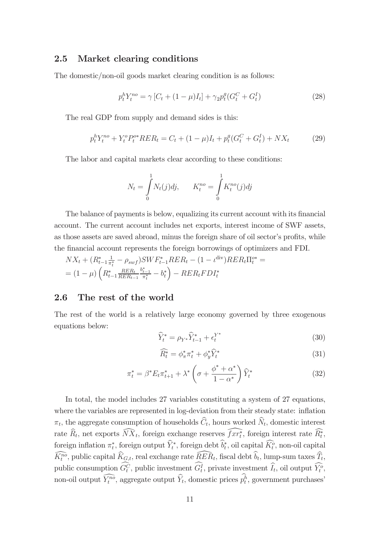#### 2.5 Market clearing conditions

The domestic/non-oil goods market clearing condition is as follows:

$$
p_t^h Y_t^{no} = \gamma \left[ C_t + (1 - \mu) I_t \right] + \gamma_2 p_t^g (G_t^C + G_t^I)
$$
\n(28)

The real GDP from supply and demand sides is this:

$$
p_t^h Y_t^{no} + Y_t^o P_t^{o*} R E R_t = C_t + (1 - \mu) I_t + p_t^g (G_t^C + G_t^I) + N X_t \tag{29}
$$

The labor and capital markets clear according to these conditions:

$$
N_t = \int_0^1 N_t(j)dj, \qquad K_t^{no} = \int_0^1 K_t^{no}(j)dj
$$

The balance of payments is below, equalizing its current account with its financial account. The current account includes net exports, interest income of SWF assets, as those assets are saved abroad, minus the foreign share of oil sector's profits, while the financial account represents the foreign borrowings of optimizers and FDI.

$$
NX_t + (R_{t-1}^* \frac{1}{\pi_t^*} - \rho_{swf})SWF_{t-1}^*RER_t - (1 - \iota^{\text{div}})RER_t\Pi_t^{o*} =
$$
  
= 
$$
(1 - \mu) \left( R_{t-1}^* \frac{RER_t}{RER_{t-1}} \frac{b_{t-1}^*}{\pi_t^*} - b_t^* \right) - RER_tFDI_t^*
$$

#### 2.6 The rest of the world

The rest of the world is a relatively large economy governed by three exogenous equations below:

$$
\widehat{Y}_t^* = \rho_{Y^*} \widehat{Y}_{t-1}^* + \epsilon_t^{Y^*}
$$
\n(30)

$$
\widehat{R_t^*} = \phi_\pi^* \pi_t^* + \phi_y^* \widehat{Y}_t^* \tag{31}
$$

$$
\pi_t^* = \beta^* E_t \pi_{t+1}^* + \lambda^* \left( \sigma + \frac{\phi^* + \alpha^*}{1 - \alpha^*} \right) \widehat{Y}_t^* \tag{32}
$$

In total, the model includes 27 variables constituting a system of 27 equations, where the variables are represented in log-deviation from their steady state: inflation  $\pi_t$ , the aggregate consumption of households  $\widehat{C}_t$ , hours worked  $\widehat{N}_t$ , domestic interest rate  $\hat{R}_t$ , net exports  $\overline{N} \overline{X}_t$ , foreign exchange reserves  $\overline{f} x r_t^*$ , foreign interest rate  $\overline{R}_t^*$ , foreign inflation  $\pi_t^*$ , foreign output  $\hat{Y}_t^*$ , foreign debt  $\hat{b}_t^*$ , oil capital  $\hat{K}_t^o$ , non-oil capital  $\tilde{K}_t^{n\tilde{o}},$  public capital  $\tilde{K}_{G,t}$ , real exchange rate  $\tilde{R}\tilde{E}\tilde{R}_t$ , fiscal debt  $\tilde{b}_t$ , lump-sum taxes  $\tilde{T}_t$ , public consumption  $G_t^C$ , public investment  $G_t^I$ , private investment  $\tilde{I}_t$ , oil output  $\tilde{Y}_t^o$ , non-oil output  $\tilde{Y}_t^{n\tilde{o}}$ , aggregate output  $\tilde{Y}_t$ , domestic prices  $p_t^h$ , government purchases'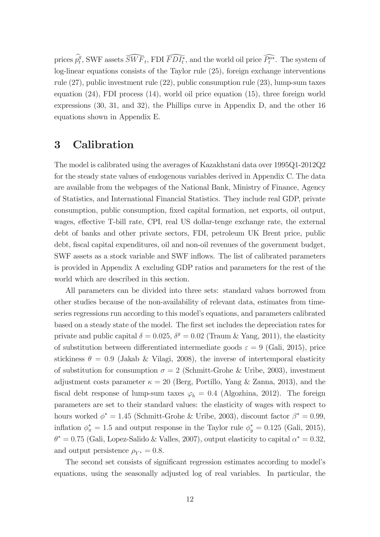prices  $\rho_t^g$ , SWF assets  $\widetilde{SWF}_t$ , FDI  $\widetilde{FDI_t^*}$ , and the world oil price  $\widetilde{P_t^{o*}}$ . The system of log-linear equations consists of the Taylor rule (25), foreign exchange interventions rule (27), public investment rule (22), public consumption rule (23), lump-sum taxes equation (24), FDI process (14), world oil price equation (15), three foreign world expressions (30, 31, and 32), the Phillips curve in Appendix D, and the other 16 equations shown in Appendix E.

### 3 Calibration

The model is calibrated using the averages of Kazakhstani data over 1995Q1-2012Q2 for the steady state values of endogenous variables derived in Appendix C. The data are available from the webpages of the National Bank, Ministry of Finance, Agency of Statistics, and International Financial Statistics. They include real GDP, private consumption, public consumption, fixed capital formation, net exports, oil output, wages, effective T-bill rate, CPI, real US dollar-tenge exchange rate, the external debt of banks and other private sectors, FDI, petroleum UK Brent price, public debt, fiscal capital expenditures, oil and non-oil revenues of the government budget, SWF assets as a stock variable and SWF inflows. The list of calibrated parameters is provided in Appendix A excluding GDP ratios and parameters for the rest of the world which are described in this section.

All parameters can be divided into three sets: standard values borrowed from other studies because of the non-availability of relevant data, estimates from timeseries regressions run according to this model's equations, and parameters calibrated based on a steady state of the model. The first set includes the depreciation rates for private and public capital  $\delta = 0.025$ ,  $\delta^g = 0.02$  (Traum & Yang, 2011), the elasticity of substitution between differentiated intermediate goods  $\varepsilon = 9$  (Gali, 2015), price stickiness  $\theta = 0.9$  (Jakab & Vilagi, 2008), the inverse of intertemporal elasticity of substitution for consumption  $\sigma = 2$  (Schmitt-Grohe & Uribe, 2003), investment adjustment costs parameter  $\kappa = 20$  (Berg, Portillo, Yang & Zanna, 2013), and the fiscal debt response of lump-sum taxes  $\varphi_b = 0.4$  (Algozhina, 2012). The foreign parameters are set to their standard values: the elasticity of wages with respect to hours worked  $\phi^* = 1.45$  (Schmitt-Grohe & Uribe, 2003), discount factor  $\beta^* = 0.99$ , inflation  $\phi_{\pi}^* = 1.5$  and output response in the Taylor rule  $\phi_y^* = 0.125$  (Gali, 2015),  $\theta^* = 0.75$  (Gali, Lopez-Salido & Valles, 2007), output elasticity to capital  $\alpha^* = 0.32$ , and output persistence  $\rho_{V^*} = 0.8$ .

The second set consists of significant regression estimates according to model's equations, using the seasonally adjusted log of real variables. In particular, the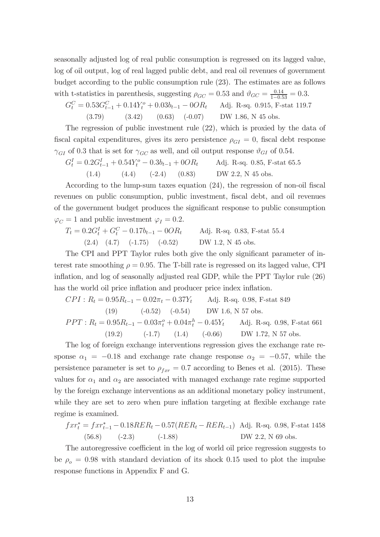seasonally adjusted log of real public consumption is regressed on its lagged value, log of oil output, log of real lagged public debt, and real oil revenues of government budget according to the public consumption rule (23). The estimates are as follows with t-statistics in parenthesis, suggesting  $\rho_{GC} = 0.53$  and  $\vartheta_{GC} = \frac{0.14}{1 - 0.53} = 0.3$ .

$$
G_t^C = 0.53G_{t-1}^C + 0.14Y_t^o + 0.03b_{t-1} - 0OR_t \qquad \text{Adj. R-sq. 0.915, F-stat 119.7}
$$
  
(3.79) (3.42) (0.63) (-0.07) DW 1.86, N 45 obs.

The regression of public investment rule (22), which is proxied by the data of fiscal capital expenditures, gives its zero persistence  $\rho_{GI} = 0$ , fiscal debt response  $\gamma_{GI}$  of 0.3 that is set for  $\gamma_{GC}$  as well, and oil output response  $\vartheta_{GI}$  of 0.54.

$$
G_t^I = 0.2G_{t-1}^I + 0.54Y_t^o - 0.3b_{t-1} + 0OR_t
$$
 Adj. R-sq. 0.85, F-stat 65.5  
(1.4) (4.4) (-2.4) (0.83) DW 2.2, N 45 obs.

According to the lump-sum taxes equation  $(24)$ , the regression of non-oil fiscal revenues on public consumption, public investment, fiscal debt, and oil revenues of the government budget produces the signicant response to public consumption  $\varphi_C = 1$  and public investment  $\varphi_I = 0.2$ .

$$
T_t = 0.2G_t^I + G_t^C - 0.17b_{t-1} - 0OR_t
$$
 Adj. R-sq. 0.83, F-stat 55.4  
(2.4) (4.7) (-1.75) (-0.52) DW 1.2, N 45 obs.

The CPI and PPT Taylor rules both give the only signicant parameter of interest rate smoothing  $\rho = 0.95$ . The T-bill rate is regressed on its lagged value, CPI inflation, and log of seasonally adjusted real GDP, while the PPT Taylor rule (26) has the world oil price inflation and producer price index inflation.

$$
CPI : R_t = 0.95R_{t-1} - 0.02\pi_t - 0.37Y_t \qquad \text{Adj. R-sq. 0.98, F-stat 849}
$$
\n
$$
(19) \qquad (-0.52) \qquad (-0.54) \qquad \text{DW 1.6, N 57 obs.}
$$
\n
$$
PPT : R_t = 0.95R_{t-1} - 0.03\pi_t^o + 0.04\pi_t^h - 0.45Y_t \qquad \text{Adj. R-sq. 0.98, F-stat 661}
$$
\n
$$
(19.2) \qquad (-1.7) \qquad (1.4) \qquad (-0.66) \qquad \text{DW 1.72, N 57 obs.}
$$

The log of foreign exchange interventions regression gives the exchange rate response  $\alpha_1 = -0.18$  and exchange rate change response  $\alpha_2 = -0.57$ , while the persistence parameter is set to  $\rho_{far} = 0.7$  according to Benes et al. (2015). These values for  $\alpha_1$  and  $\alpha_2$  are associated with managed exchange rate regime supported by the foreign exchange interventions as an additional monetary policy instrument, while they are set to zero when pure inflation targeting at flexible exchange rate regime is examined.

$$
f x r_t^* = f x r_{t-1}^* - 0.18 R E R_t - 0.57 (R E R_t - R E R_{t-1})
$$
Adj. R-sq. 0.98, F-stat 1458  
(56.8) (-2.3) (-1.88) DW 2.2, N 69 obs.

The autoregressive coefficient in the log of world oil price regression suggests to be  $\rho_o = 0.98$  with standard deviation of its shock 0.15 used to plot the impulse response functions in Appendix F and G.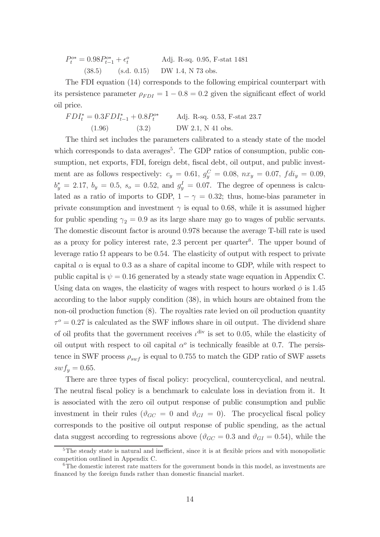| $P_t^{o*} = 0.98 P_{t-1}^{o*} + \epsilon_t^o$ |             | Adj. R-sq. 0.95, F-stat 1481 |  |  |  |  |
|-----------------------------------------------|-------------|------------------------------|--|--|--|--|
| (38.5)                                        | (s.d. 0.15) | DW 1.4, N 73 obs.            |  |  |  |  |

The FDI equation (14) corresponds to the following empirical counterpart with its persistence parameter  $\rho_{FDI} = 1 - 0.8 = 0.2$  given the significant effect of world oil price.

 $FDI_t^* = 0.3FDI_{t-1}^* + 0.8P_t^{o*}$ Adj. R-sq. 0.53, F-stat 23.7  $(1.96)$   $(3.2)$  DW 2.1, N 41 obs.

The third set includes the parameters calibrated to a steady state of the model which corresponds to data averages<sup>5</sup>. The GDP ratios of consumption, public consumption, net exports, FDI, foreign debt, fiscal debt, oil output, and public investment are as follows respectively:  $c_y = 0.61, g_y^C = 0.08, nx_y = 0.07, fdi_y = 0.09,$  $b_y^* = 2.17, b_y = 0.5, s_o = 0.52, \text{ and } g_y^I = 0.07.$  The degree of openness is calculated as a ratio of imports to GDP,  $1 - \gamma = 0.32$ ; thus, home-bias parameter in private consumption and investment  $\gamma$  is equal to 0.68, while it is assumed higher for public spending  $\gamma_2 = 0.9$  as its large share may go to wages of public servants. The domestic discount factor is around 0.978 because the average T-bill rate is used as a proxy for policy interest rate,  $2.3$  percent per quarter<sup>6</sup>. The upper bound of leverage ratio  $\Omega$  appears to be 0.54. The elasticity of output with respect to private capital  $\alpha$  is equal to 0.3 as a share of capital income to GDP, while with respect to public capital is  $\psi = 0.16$  generated by a steady state wage equation in Appendix C. Using data on wages, the elasticity of wages with respect to hours worked  $\phi$  is 1.45 according to the labor supply condition (38), in which hours are obtained from the non-oil production function (8). The royalties rate levied on oil production quantity  $\tau^{\circ} = 0.27$  is calculated as the SWF inflows share in oil output. The dividend share of oil profits that the government receives  $\iota^{\text{div}}$  is set to 0.05, while the elasticity of oil output with respect to oil capital  $\alpha^{\circ}$  is technically feasible at 0.7. The persistence in SWF process  $\rho_{swf}$  is equal to 0.755 to match the GDP ratio of SWF assets  $swf_y = 0.65.$ 

There are three types of fiscal policy: procyclical, countercyclical, and neutral. The neutral fiscal policy is a benchmark to calculate loss in deviation from it. It is associated with the zero oil output response of public consumption and public investment in their rules ( $\vartheta_{GC} = 0$  and  $\vartheta_{GI} = 0$ ). The procyclical fiscal policy corresponds to the positive oil output response of public spending, as the actual data suggest according to regressions above ( $\vartheta_{GC} = 0.3$  and  $\vartheta_{GI} = 0.54$ ), while the

 ${}^{5}$ The steady state is natural and inefficient, since it is at flexible prices and with monopolistic competition outlined in Appendix C.

 $6$ The domestic interest rate matters for the government bonds in this model, as investments are financed by the foreign funds rather than domestic financial market.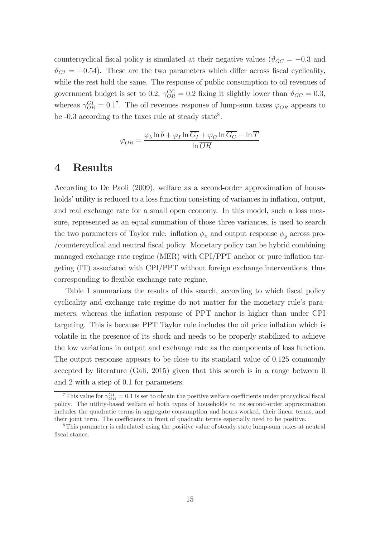countercyclical fiscal policy is simulated at their negative values ( $\vartheta_{GC} = -0.3$  and  $\vartheta_{GI} = -0.54$ . These are the two parameters which differ across fiscal cyclicality, while the rest hold the same. The response of public consumption to oil revenues of government budget is set to 0.2,  $\gamma_{OR}^{GC} = 0.2$  fixing it slightly lower than  $\vartheta_{GC} = 0.3$ , whereas  $\gamma_{OR}^{GI} = 0.1^7$ . The oil revenues response of lump-sum taxes  $\varphi_{OR}$  appears to be  $-0.3$  according to the taxes rule at steady state<sup>8</sup>.

$$
\varphi_{OR} = \frac{\varphi_b \ln \overline{b} + \varphi_I \ln \overline{G_I} + \varphi_C \ln \overline{G_C} - \ln \overline{T}}{\ln \overline{OR}}
$$

### 4 Results

According to De Paoli (2009), welfare as a second-order approximation of households' utility is reduced to a loss function consisting of variances in inflation, output, and real exchange rate for a small open economy. In this model, such a loss measure, represented as an equal summation of those three variances, is used to search the two parameters of Taylor rule: inflation  $\phi_{\pi}$  and output response  $\phi_{\nu}$  across pro-/countercyclical and neutral fiscal policy. Monetary policy can be hybrid combining managed exchange rate regime (MER) with CPI/PPT anchor or pure inflation targeting (IT) associated with CPI/PPT without foreign exchange interventions, thus corresponding to flexible exchange rate regime.

Table 1 summarizes the results of this search, according to which fiscal policy cyclicality and exchange rate regime do not matter for the monetary rule's parameters, whereas the inflation response of PPT anchor is higher than under CPI targeting. This is because PPT Taylor rule includes the oil price inflation which is volatile in the presence of its shock and needs to be properly stabilized to achieve the low variations in output and exchange rate as the components of loss function. The output response appears to be close to its standard value of 0.125 commonly accepted by literature (Gali, 2015) given that this search is in a range between 0 and 2 with a step of 0.1 for parameters.

<sup>&</sup>lt;sup>7</sup>This value for  $\gamma_{OR}^{GI} = 0.1$  is set to obtain the positive welfare coefficients under procyclical fiscal policy. The utility-based welfare of both types of households to its second-order approximation includes the quadratic terms in aggregate consumption and hours worked, their linear terms, and their joint term. The coefficients in front of quadratic terms especially need to be positive.

<sup>8</sup>This parameter is calculated using the positive value of steady state lump-sum taxes at neutral fiscal stance.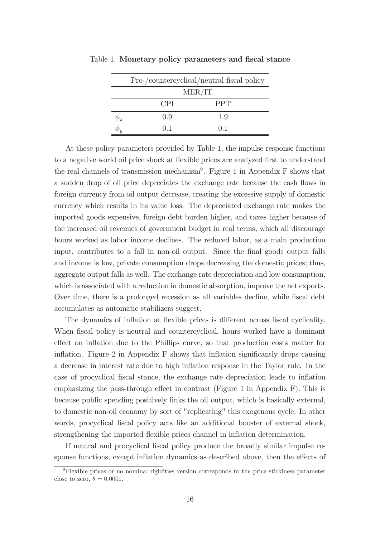| Pro-/countercyclical/neutral fiscal policy |                |  |  |  |
|--------------------------------------------|----------------|--|--|--|
| MER/IT                                     |                |  |  |  |
| <b>CPI</b>                                 | <b>PPT</b>     |  |  |  |
| 09                                         | 1 <sub>9</sub> |  |  |  |
| () 1                                       | () 1           |  |  |  |

Table 1. Monetary policy parameters and fiscal stance

At these policy parameters provided by Table 1, the impulse response functions to a negative world oil price shock at flexible prices are analyzed first to understand the real channels of transmission mechanism<sup>9</sup>. Figure 1 in Appendix F shows that a sudden drop of oil price depreciates the exchange rate because the cash flows in foreign currency from oil output decrease, creating the excessive supply of domestic currency which results in its value loss. The depreciated exchange rate makes the imported goods expensive, foreign debt burden higher, and taxes higher because of the increased oil revenues of government budget in real terms, which all discourage hours worked as labor income declines. The reduced labor, as a main production input, contributes to a fall in non-oil output. Since the final goods output falls and income is low, private consumption drops decreasing the domestic prices; thus, aggregate output falls as well. The exchange rate depreciation and low consumption, which is associated with a reduction in domestic absorption, improve the net exports. Over time, there is a prolonged recession as all variables decline, while fiscal debt accumulates as automatic stabilizers suggest.

The dynamics of inflation at flexible prices is different across fiscal cyclicality. When fiscal policy is neutral and countercyclical, hours worked have a dominant effect on inflation due to the Phillips curve, so that production costs matter for in flation. Figure 2 in Appendix F shows that inflation significantly drops causing a decrease in interest rate due to high inflation response in the Taylor rule. In the case of procyclical fiscal stance, the exchange rate depreciation leads to inflation emphasizing the pass-through effect in contrast (Figure 1 in Appendix  $F$ ). This is because public spending positively links the oil output, which is basically external, to domestic non-oil economy by sort of "replicating" this exogenous cycle. In other words, procyclical fiscal policy acts like an additional booster of external shock, strengthening the imported flexible prices channel in inflation determination.

If neutral and procyclical fiscal policy produce the broadly similar impulse response functions, except inflation dynamics as described above, then the effects of

 $9F$ lexible prices or no nominal rigidities version corresponds to the price stickiness parameter close to zero,  $\theta = 0.0001$ .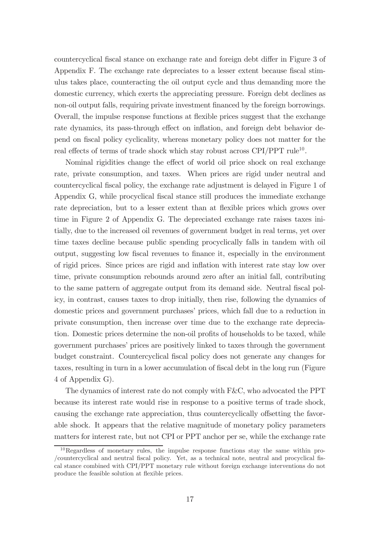countercyclical fiscal stance on exchange rate and foreign debt differ in Figure 3 of Appendix F. The exchange rate depreciates to a lesser extent because fiscal stimulus takes place, counteracting the oil output cycle and thus demanding more the domestic currency, which exerts the appreciating pressure. Foreign debt declines as non-oil output falls, requiring private investment financed by the foreign borrowings. Overall, the impulse response functions at flexible prices suggest that the exchange rate dynamics, its pass-through effect on inflation, and foreign debt behavior depend on fiscal policy cyclicality, whereas monetary policy does not matter for the real effects of terms of trade shock which stay robust across  $CPI/PPT$  rule<sup>10</sup>.

Nominal rigidities change the effect of world oil price shock on real exchange rate, private consumption, and taxes. When prices are rigid under neutral and countercyclical fiscal policy, the exchange rate adjustment is delayed in Figure 1 of Appendix G, while procyclical fiscal stance still produces the immediate exchange rate depreciation, but to a lesser extent than at flexible prices which grows over time in Figure 2 of Appendix G. The depreciated exchange rate raises taxes initially, due to the increased oil revenues of government budget in real terms, yet over time taxes decline because public spending procyclically falls in tandem with oil output, suggesting low fiscal revenues to finance it, especially in the environment of rigid prices. Since prices are rigid and inflation with interest rate stay low over time, private consumption rebounds around zero after an initial fall, contributing to the same pattern of aggregate output from its demand side. Neutral fiscal policy, in contrast, causes taxes to drop initially, then rise, following the dynamics of domestic prices and government purchases' prices, which fall due to a reduction in private consumption, then increase over time due to the exchange rate depreciation. Domestic prices determine the non-oil profits of households to be taxed, while government purchases' prices are positively linked to taxes through the government budget constraint. Countercyclical fiscal policy does not generate any changes for taxes, resulting in turn in a lower accumulation of fiscal debt in the long run (Figure 4 of Appendix G).

The dynamics of interest rate do not comply with F&C, who advocated the PPT because its interest rate would rise in response to a positive terms of trade shock, causing the exchange rate appreciation, thus countercyclically offsetting the favorable shock. It appears that the relative magnitude of monetary policy parameters matters for interest rate, but not CPI or PPT anchor per se, while the exchange rate

 $10$ Regardless of monetary rules, the impulse response functions stay the same within pro-/countercyclical and neutral fiscal policy. Yet, as a technical note, neutral and procyclical fiscal stance combined with CPI/PPT monetary rule without foreign exchange interventions do not produce the feasible solution at flexible prices.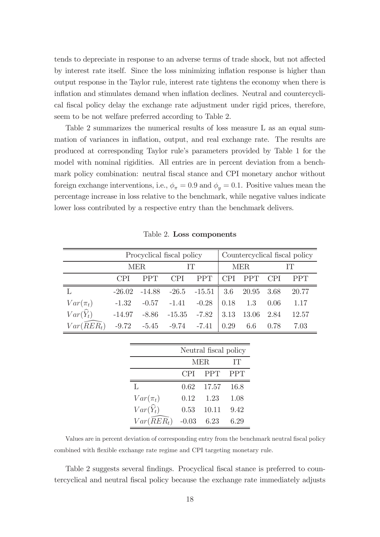tends to depreciate in response to an adverse terms of trade shock, but not affected by interest rate itself. Since the loss minimizing inflation response is higher than output response in the Taylor rule, interest rate tightens the economy when there is inflation and stimulates demand when inflation declines. Neutral and countercyclical fiscal policy delay the exchange rate adjustment under rigid prices, therefore, seem to be not welfare preferred according to Table 2.

Table 2 summarizes the numerical results of loss measure L as an equal summation of variances in inflation, output, and real exchange rate. The results are produced at corresponding Taylor rule's parameters provided by Table 1 for the model with nominal rigidities. All entries are in percent deviation from a benchmark policy combination: neutral fiscal stance and CPI monetary anchor without foreign exchange interventions, i.e.,  $\phi_{\pi} = 0.9$  and  $\phi_{\nu} = 0.1$ . Positive values mean the percentage increase in loss relative to the benchmark, while negative values indicate lower loss contributed by a respective entry than the benchmark delivers.

|                      | Procyclical fiscal policy |            |                         | Countercyclical fiscal policy |            |            |            |       |
|----------------------|---------------------------|------------|-------------------------|-------------------------------|------------|------------|------------|-------|
|                      | <b>MER</b>                |            | IΤ                      |                               | <b>MER</b> |            | IТ         |       |
|                      | <b>CPI</b>                | <b>PPT</b> | <b>CPI</b>              | <b>PPT</b>                    | <b>CPI</b> | <b>PPT</b> | <b>CPI</b> | PPT   |
|                      | $-26.02$                  | $-14.88$   | $-26.5$ $-15.51$        |                               | 3.6        | 20.95      | 3.68       | 20.77 |
| $Var(\pi_t)$         | $-1.32$                   | $-0.57$    | $-1.41$                 | $-0.28$                       | 0.18       | 1.3        | 0.06       | 1.17  |
| $Var(\widehat{Y}_t)$ | $-14.97$                  | $-8.86$    | $-15.35$                | $-7.82$                       | 3.13       | 13.06      | 2.84       | 12.57 |
| $Var(RER_t)$         | $-9.72$                   |            | $-5.45$ $-9.74$ $-7.41$ |                               | 0.29       | 6.6        | 0.78       | 7.03  |

Table 2. Loss components

|                        | Neutral fiscal policy |            |            |  |
|------------------------|-----------------------|------------|------------|--|
|                        | <b>MER</b>            |            | IТ         |  |
|                        | CPI                   | <b>PPT</b> | <b>PPT</b> |  |
| L                      | 0.62                  | 17.57      | 16.8       |  |
| $Var(\pi_t)$           | 0.12                  | 1.23       | 1.08       |  |
| $Var(\widehat{Y}_t)$   | 0.53                  | 10.11      | 9.42       |  |
| $Var(\widehat{R}ER_t)$ | $-0.03$               | 6.23       | 6.29       |  |

Values are in percent deviation of corresponding entry from the benchmark neutral fiscal policy combined with flexible exchange rate regime and CPI targeting monetary rule.

Table 2 suggests several findings. Procyclical fiscal stance is preferred to countercyclical and neutral fiscal policy because the exchange rate immediately adjusts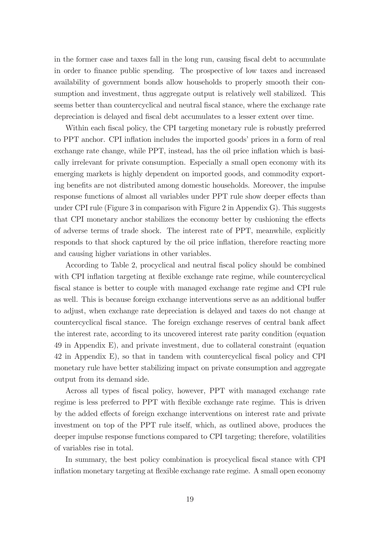in the former case and taxes fall in the long run, causing fiscal debt to accumulate in order to finance public spending. The prospective of low taxes and increased availability of government bonds allow households to properly smooth their consumption and investment, thus aggregate output is relatively well stabilized. This seems better than countercyclical and neutral fiscal stance, where the exchange rate depreciation is delayed and fiscal debt accumulates to a lesser extent over time.

Within each fiscal policy, the CPI targeting monetary rule is robustly preferred to PPT anchor. CPI inflation includes the imported goods' prices in a form of real exchange rate change, while PPT, instead, has the oil price inflation which is basically irrelevant for private consumption. Especially a small open economy with its emerging markets is highly dependent on imported goods, and commodity exporting benefits are not distributed among domestic households. Moreover, the impulse response functions of almost all variables under PPT rule show deeper effects than under CPI rule (Figure 3 in comparison with Figure 2 in Appendix G). This suggests that CPI monetary anchor stabilizes the economy better by cushioning the effects of adverse terms of trade shock. The interest rate of PPT, meanwhile, explicitly responds to that shock captured by the oil price inflation, therefore reacting more and causing higher variations in other variables.

According to Table 2, procyclical and neutral fiscal policy should be combined with CPI inflation targeting at flexible exchange rate regime, while countercyclical fiscal stance is better to couple with managed exchange rate regime and CPI rule as well. This is because foreign exchange interventions serve as an additional buffer to adjust, when exchange rate depreciation is delayed and taxes do not change at countercyclical fiscal stance. The foreign exchange reserves of central bank affect the interest rate, according to its uncovered interest rate parity condition (equation 49 in Appendix E), and private investment, due to collateral constraint (equation 42 in Appendix E), so that in tandem with countercyclical fiscal policy and CPI monetary rule have better stabilizing impact on private consumption and aggregate output from its demand side.

Across all types of fiscal policy, however, PPT with managed exchange rate regime is less preferred to PPT with flexible exchange rate regime. This is driven by the added effects of foreign exchange interventions on interest rate and private investment on top of the PPT rule itself, which, as outlined above, produces the deeper impulse response functions compared to CPI targeting; therefore, volatilities of variables rise in total.

In summary, the best policy combination is procyclical fiscal stance with CPI in flation monetary targeting at flexible exchange rate regime. A small open economy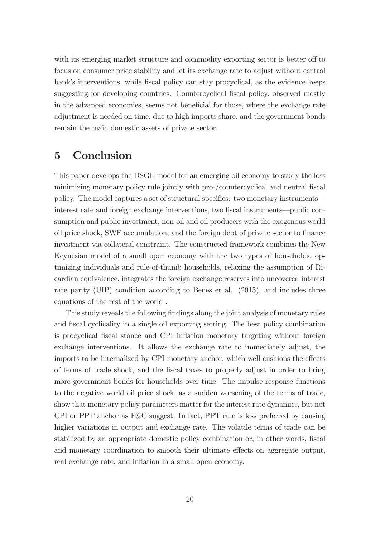with its emerging market structure and commodity exporting sector is better off to focus on consumer price stability and let its exchange rate to adjust without central bank's interventions, while fiscal policy can stay procyclical, as the evidence keeps suggesting for developing countries. Countercyclical fiscal policy, observed mostly in the advanced economies, seems not beneficial for those, where the exchange rate adjustment is needed on time, due to high imports share, and the government bonds remain the main domestic assets of private sector.

### 5 Conclusion

This paper develops the DSGE model for an emerging oil economy to study the loss minimizing monetary policy rule jointly with pro-/countercyclical and neutral fiscal policy. The model captures a set of structural specifics: two monetary instruments– interest rate and foreign exchange interventions, two fiscal instruments—public consumption and public investment, non-oil and oil producers with the exogenous world oil price shock, SWF accumulation, and the foreign debt of private sector to finance investment via collateral constraint. The constructed framework combines the New Keynesian model of a small open economy with the two types of households, optimizing individuals and rule-of-thumb households, relaxing the assumption of Ricardian equivalence, integrates the foreign exchange reserves into uncovered interest rate parity (UIP) condition according to Benes et al. (2015), and includes three equations of the rest of the world .

This study reveals the following findings along the joint analysis of monetary rules and fiscal cyclicality in a single oil exporting setting. The best policy combination is procyclical fiscal stance and CPI inflation monetary targeting without foreign exchange interventions. It allows the exchange rate to immediately adjust, the imports to be internalized by CPI monetary anchor, which well cushions the effects of terms of trade shock, and the fiscal taxes to properly adjust in order to bring more government bonds for households over time. The impulse response functions to the negative world oil price shock, as a sudden worsening of the terms of trade, show that monetary policy parameters matter for the interest rate dynamics, but not CPI or PPT anchor as F&C suggest. In fact, PPT rule is less preferred by causing higher variations in output and exchange rate. The volatile terms of trade can be stabilized by an appropriate domestic policy combination or, in other words, fiscal and monetary coordination to smooth their ultimate effects on aggregate output, real exchange rate, and inflation in a small open economy.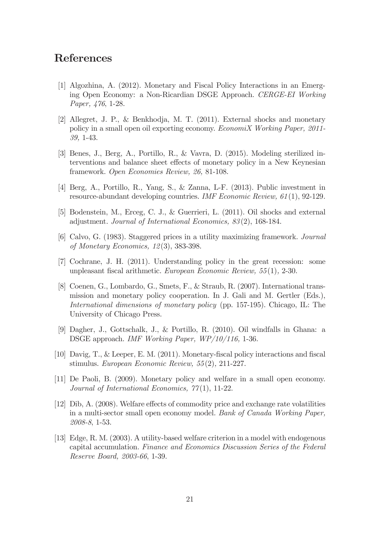### References

- [1] Algozhina, A. (2012). Monetary and Fiscal Policy Interactions in an Emerging Open Economy: a Non-Ricardian DSGE Approach. CERGE-EI Working Paper, 476, 1-28.
- [2] Allegret, J. P., & Benkhodja, M. T. (2011). External shocks and monetary policy in a small open oil exporting economy. EconomiX Working Paper, 2011- 39, 1-43.
- [3] Benes, J., Berg, A., Portillo, R., & Vavra, D. (2015). Modeling sterilized interventions and balance sheet effects of monetary policy in a New Keynesian framework. Open Economies Review, 26, 81-108.
- [4] Berg, A., Portillo, R., Yang, S., & Zanna, L-F. (2013). Public investment in resource-abundant developing countries. IMF Economic Review, 61(1), 92-129.
- [5] Bodenstein, M., Erceg, C. J., & Guerrieri, L. (2011). Oil shocks and external adjustment. Journal of International Economics, 83 (2), 168-184.
- [6] Calvo, G. (1983). Staggered prices in a utility maximizing framework. Journal of Monetary Economics, 12(3), 383-398.
- [7] Cochrane, J. H. (2011). Understanding policy in the great recession: some unpleasant fiscal arithmetic. European Economic Review,  $55(1)$ , 2-30.
- [8] Coenen, G., Lombardo, G., Smets, F., & Straub, R. (2007). International transmission and monetary policy cooperation. In J. Gali and M. Gertler (Eds.), International dimensions of monetary policy (pp. 157-195). Chicago, IL: The University of Chicago Press.
- [9] Dagher, J., Gottschalk, J., & Portillo, R. (2010). Oil windfalls in Ghana: a DSGE approach. IMF Working Paper, WP/10/116, 1-36.
- [10] Davig, T., & Leeper, E. M. (2011). Monetary-fiscal policy interactions and fiscal stimulus. European Economic Review, 55(2), 211-227.
- [11] De Paoli, B. (2009). Monetary policy and welfare in a small open economy. Journal of International Economics,  $\gamma\gamma(1)$ , 11-22.
- $[12]$  Dib, A.  $(2008)$ . Welfare effects of commodity price and exchange rate volatilities in a multi-sector small open economy model. Bank of Canada Working Paper, 2008-8, 1-53.
- [13] Edge, R. M. (2003). A utility-based welfare criterion in a model with endogenous capital accumulation. Finance and Economics Discussion Series of the Federal Reserve Board, 2003-66, 1-39.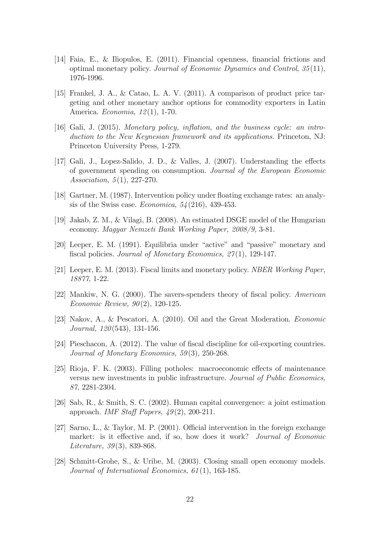- [14] Faia, E., & Iliopulos, E. (2011). Financial openness, financial frictions and optimal monetary policy. Journal of Economic Dynamics and Control, 35(11), 1976-1996.
- [15] Frankel, J. A., & Catao, L. A. V. (2011). A comparison of product price targeting and other monetary anchor options for commodity exporters in Latin America. Economia, 12(1), 1-70.
- [16] Gali, J. (2015). Monetary policy, inflation, and the business cycle: an introduction to the New Keynesian framework and its applications. Princeton, NJ: Princeton University Press, 1-279.
- [17] Gali, J., Lopez-Salido, J. D., & Valles, J.  $(2007)$ . Understanding the effects of government spending on consumption. Journal of the European Economic Association, 5(1), 227-270.
- [18] Gartner, M.  $(1987)$ . Intervention policy under floating exchange rates: an analysis of the Swiss case. *Economica*,  $54(216)$ , 439-453.
- [19] Jakab, Z. M., & Vilagi, B. (2008). An estimated DSGE model of the Hungarian economy. Magyar Nemzeti Bank Working Paper, 2008/9, 3-81.
- [20] Leeper, E. M. (1991). Equilibria under "active" and "passive" monetary and fiscal policies. Journal of Monetary Economics,  $27(1)$ , 129-147.
- [21] Leeper, E. M. (2013). Fiscal limits and monetary policy. NBER Working Paper, 18877, 1-22.
- [22] Mankiw, N. G.  $(2000)$ . The savers-spenders theory of fiscal policy. American Economic Review, 90(2), 120-125.
- [23] Nakov, A., & Pescatori, A. (2010). Oil and the Great Moderation. Economic Journal, 120(543), 131-156.
- [24] Pieschacon, A. (2012). The value of fiscal discipline for oil-exporting countries. Journal of Monetary Economics, 59(3), 250-268.
- $[25]$  Rioja, F. K.  $(2003)$ . Filling potholes: macroeconomic effects of maintenance versus new investments in public infrastructure. Journal of Public Economics, 87, 2281-2304.
- [26] Sab, R., & Smith, S. C. (2002). Human capital convergence: a joint estimation approach. IMF Staff Papers,  $49(2)$ , 200-211.
- [27] Sarno, L., & Taylor, M. P. (2001). Official intervention in the foreign exchange market: is it effective and, if so, how does it work? Journal of Economic Literature, 39(3), 839-868.
- [28] Schmitt-Grohe, S., & Uribe, M. (2003). Closing small open economy models. Journal of International Economics, 61 (1), 163-185.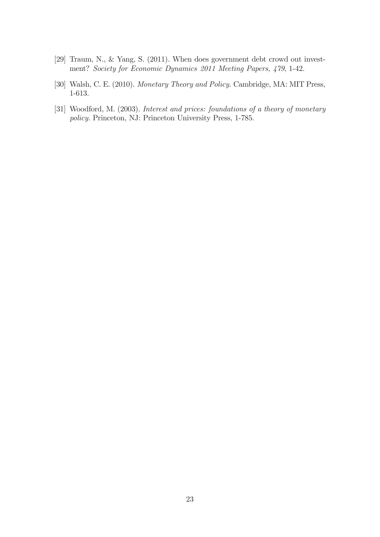- [29] Traum, N., & Yang, S. (2011). When does government debt crowd out investment? Society for Economic Dynamics 2011 Meeting Papers, 479, 1-42.
- [30] Walsh, C. E. (2010). Monetary Theory and Policy. Cambridge, MA: MIT Press, 1-613.
- [31] Woodford, M. (2003). *Interest and prices: foundations of a theory of monetary* policy. Princeton, NJ: Princeton University Press, 1-785.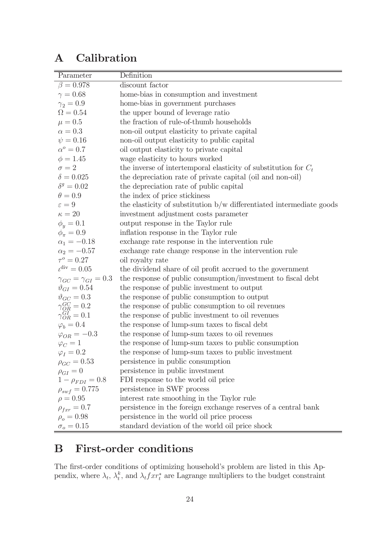## A Calibration

| Parameter                                                                  | Definition                                                           |
|----------------------------------------------------------------------------|----------------------------------------------------------------------|
| $\beta = 0.978$                                                            | discount factor                                                      |
| $\gamma = 0.68$                                                            | home-bias in consumption and investment                              |
| $\gamma_2=0.9$                                                             | home-bias in government purchases                                    |
| $\Omega = 0.54$                                                            | the upper bound of leverage ratio                                    |
| $\mu = 0.5$                                                                | the fraction of rule-of-thumb households                             |
| $\alpha = 0.3$                                                             | non-oil output elasticity to private capital                         |
| $\psi = 0.16$                                                              | non-oil output elasticity to public capital                          |
| $\alpha^o=0.7$                                                             | oil output elasticity to private capital                             |
| $\phi = 1.45$                                                              | wage elasticity to hours worked                                      |
| $\sigma = 2$                                                               | the inverse of intertemporal elasticity of substitution for $C_t$    |
| $\delta=0.025$                                                             | the depreciation rate of private capital (oil and non-oil)           |
| $\delta^g=0.02$                                                            | the depreciation rate of public capital                              |
| $\theta = 0.9$                                                             | the index of price stickiness                                        |
| $\varepsilon = 9$                                                          | the elasticity of substitution b/w differentiated intermediate goods |
| $\kappa=20$                                                                | investment adjustment costs parameter                                |
| $\phi_y = 0.1$                                                             | output response in the Taylor rule                                   |
| $\phi_{\pi} = 0.9$                                                         | inflation response in the Taylor rule                                |
| $\alpha_1 = -0.18$                                                         | exchange rate response in the intervention rule                      |
| $\alpha_2 = -0.57$                                                         | exchange rate change response in the intervention rule               |
| $\tau^o = 0.27$                                                            | oil royalty rate                                                     |
| $\iota^{\rm div} = 0.05$                                                   | the dividend share of oil profit accrued to the government           |
| $\gamma_{GC} = \gamma_{GI} = 0.3$                                          | the response of public consumption/investment to fiscal debt         |
| $\vartheta_{GI}=0.54$                                                      | the response of public investment to output                          |
| $\vartheta_{GC} = 0.3$                                                     | the response of public consumption to output                         |
|                                                                            | the response of public consumption to oil revenues                   |
| $\begin{array}{c} \gamma^{GC}_{OR}=0.2\\ \gamma^{GI}_{OR}=0.1 \end{array}$ | the response of public investment to oil revenues                    |
| $\varphi_b = 0.4$                                                          | the response of lump-sum taxes to fiscal debt                        |
| $\varphi_{OR}=-0.3$                                                        | the response of lump-sum taxes to oil revenues                       |
| $\varphi_C=1$                                                              | the response of lump-sum taxes to public consumption                 |
| $\varphi_I=0.2$                                                            | the response of lump-sum taxes to public investment                  |
| $\rho_{GC} = 0.53$                                                         | persistence in public consumption                                    |
| $\rho_{GI} = 0$                                                            | persistence in public investment                                     |
| $1 - \rho_{FDI} = 0.8$                                                     | FDI response to the world oil price                                  |
| $\rho_{swf}=0.775$                                                         | persistence in SWF process                                           |
| $\rho = 0.95$                                                              | interest rate smoothing in the Taylor rule                           |
| $\rho_{fxr} = 0.7$                                                         | persistence in the foreign exchange reserves of a central bank       |
| $\rho_o=0.98$                                                              | persistence in the world oil price process                           |
| $\sigma_o=0.15$                                                            | standard deviation of the world oil price shock                      |

## B First-order conditions

The first-order conditions of optimizing household's problem are listed in this Appendix, where  $\lambda_t$ ,  $\lambda_t^k$ , and  $\lambda_t f x t_t^*$  are Lagrange multipliers to the budget constraint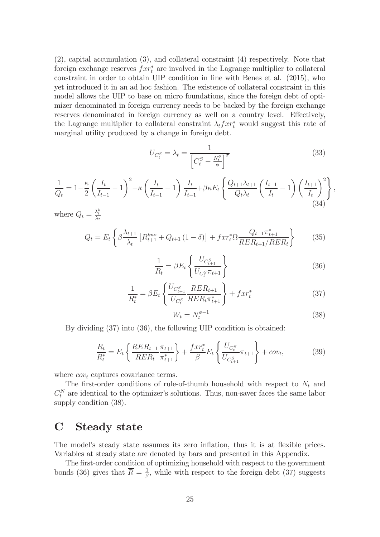(2), capital accumulation (3), and collateral constraint (4) respectively. Note that foreign exchange reserves  $f x r_t^*$  are involved in the Lagrange multiplier to collateral constraint in order to obtain UIP condition in line with Benes et al. (2015), who yet introduced it in an ad hoc fashion. The existence of collateral constraint in this model allows the UIP to base on micro foundations, since the foreign debt of optimizer denominated in foreign currency needs to be backed by the foreign exchange reserves denominated in foreign currency as well on a country level. Effectively, the Lagrange multiplier to collateral constraint  $\lambda_t f x r_t^*$  would suggest this rate of marginal utility produced by a change in foreign debt.

$$
U_{C_t^S} = \lambda_t = \frac{1}{\left[C_t^S - \frac{N_t^{\phi}}{\phi}\right]^{\sigma}}
$$
(33)

$$
\frac{1}{Q_t} = 1 - \frac{\kappa}{2} \left( \frac{I_t}{I_{t-1}} - 1 \right)^2 - \kappa \left( \frac{I_t}{I_{t-1}} - 1 \right) \frac{I_t}{I_{t-1}} + \beta \kappa E_t \left\{ \frac{Q_{t+1} \lambda_{t+1}}{Q_t \lambda_t} \left( \frac{I_{t+1}}{I_t} - 1 \right) \left( \frac{I_{t+1}}{I_t} \right)^2 \right\},\tag{34}
$$

where  $Q_t = \frac{\lambda_t^k}{\lambda_t}$ 

$$
Q_t = E_t \left\{ \beta \frac{\lambda_{t+1}}{\lambda_t} \left[ R_{t+1}^{k n o} + Q_{t+1} \left( 1 - \delta \right) \right] + f x r_t^* \Omega \frac{Q_{t+1} \pi_{t+1}^*}{R E R_{t+1} / R E R_t} \right\} \tag{35}
$$

$$
\frac{1}{R_t} = \beta E_t \left\{ \frac{U_{C_{t+1}^S}}{U_{C_t^S} \pi_{t+1}} \right\} \tag{36}
$$

$$
\frac{1}{R_t^*} = \beta E_t \left\{ \frac{U_{C_{t+1}^S}}{U_{C_t^S}} \frac{R E R_{t+1}}{R E R_t \pi_{t+1}^*} \right\} + f x r_t^* \tag{37}
$$

$$
W_t = N_t^{\phi - 1} \tag{38}
$$

By dividing (37) into (36), the following UIP condition is obtained:

$$
\frac{R_t}{R_t^*} = E_t \left\{ \frac{RER_{t+1}}{RER_t} \frac{\pi_{t+1}}{\pi_{t+1}^*} \right\} + \frac{fxr_t^*}{\beta} E_t \left\{ \frac{U_{C_t^S}}{U_{C_{t+1}^S}} \pi_{t+1} \right\} + cov_t, \tag{39}
$$

where  $cov_t$  captures covariance terms.

The first-order conditions of rule-of-thumb household with respect to  $N_t$  and  $C_t^N$  are identical to the optimizer's solutions. Thus, non-saver faces the same labor supply condition (38).

### C Steady state

The model's steady state assumes its zero inflation, thus it is at flexible prices. Variables at steady state are denoted by bars and presented in this Appendix.

The first-order condition of optimizing household with respect to the government bonds (36) gives that  $\overline{R} = \frac{1}{\beta}$ , while with respect to the foreign debt (37) suggests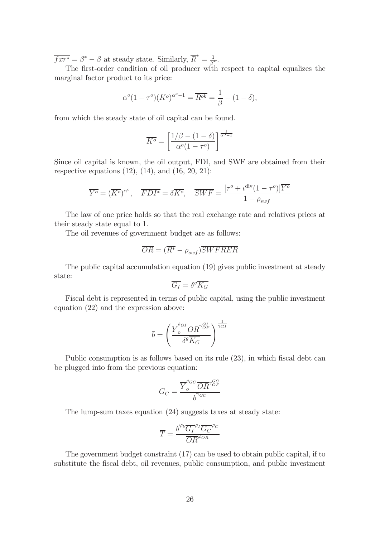$\overline{f x r^*} = \beta^* - \beta$  at steady state. Similarly,  $\overline{R}^* = \frac{1}{\beta^*}.$ 

The first-order condition of oil producer with respect to capital equalizes the marginal factor product to its price:

$$
\alpha^o(1-\tau^o)(\overline{K^o})^{\alpha^o-1} = \overline{R^{ok}} = \frac{1}{\beta} - (1-\delta),
$$

from which the steady state of oil capital can be found.

$$
\overline{K^o} = \left[\frac{1/\beta - (1-\delta)}{\alpha^o(1-\tau^o)}\right]^{\frac{1}{\alpha^o - 1}}
$$

Since oil capital is known, the oil output, FDI, and SWF are obtained from their respective equations  $(12)$ ,  $(14)$ , and  $(16, 20, 21)$ :

$$
\overline{Y^o} = (\overline{K^o})^{\alpha^o}, \quad \overline{FDI^*} = \delta \overline{K^o}, \quad \overline{SWF} = \frac{[\tau^o + \iota^{\text{div}}(1 - \tau^o)]\overline{Y^o}}{1 - \rho_{swf}}
$$

The law of one price holds so that the real exchange rate and relatives prices at their steady state equal to 1.

The oil revenues of government budget are as follows:

$$
\overline{OR} = (\overline{R^*} - \rho_{swf}) \overline{SWFRER}
$$

The public capital accumulation equation (19) gives public investment at steady state:

$$
\overline{G_I} = \delta^g \overline{K_G}
$$

Fiscal debt is represented in terms of public capital, using the public investment equation (22) and the expression above:

$$
\overline{b} = \left(\frac{\overline{Y}_o^{\theta_{GI}} \overline{OR}^{\gamma_{OF}^{GI}}}{\delta^g \overline{K_G}}\right)^{\frac{1}{\gamma_{GI}}}
$$

Public consumption is as follows based on its rule  $(23)$ , in which fiscal debt can be plugged into from the previous equation:

$$
\overline{G_C} = \frac{\overline{Y}_o^{\vartheta_{GC}} \overline{OR}^{\gamma_{OF}^{GC}}}{\overline{b}^{\gamma_{GC}}}
$$

The lump-sum taxes equation (24) suggests taxes at steady state:

$$
\overline{T} = \frac{\overline{b}^{\varphi_b} \overline{G_I}^{\varphi_I} \overline{G_C}^{\varphi_C}}{\overline{OR}^{\varphi_{OR}}}
$$

The government budget constraint (17) can be used to obtain public capital, if to substitute the fiscal debt, oil revenues, public consumption, and public investment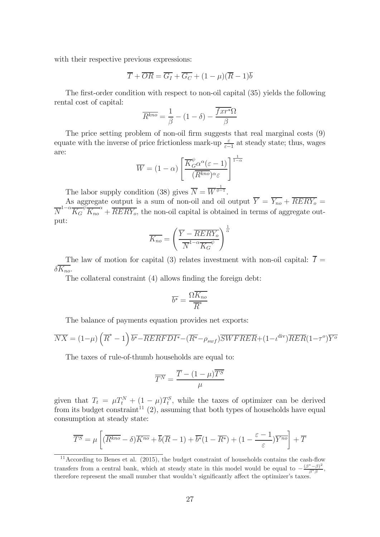with their respective previous expressions:

$$
\overline{T} + \overline{OR} = \overline{G_I} + \overline{G_C} + (1 - \mu)(\overline{R} - 1)\overline{b}
$$

The first-order condition with respect to non-oil capital  $(35)$  yields the following rental cost of capital:

$$
\overline{R^{kno}} = \frac{1}{\beta} - (1 - \delta) - \frac{f x r^* \Omega}{\beta}
$$

The price setting problem of non-oil firm suggests that real marginal costs  $(9)$ equate with the inverse of price frictionless mark-up  $\frac{\varepsilon}{\varepsilon-1}$  at steady state; thus, wages are:

$$
\overline{W} = (1 - \alpha) \left[ \frac{\overline{K}_{G}^{\psi} \alpha^{a} (\varepsilon - 1)}{(\overline{R}^{k n o})^{\alpha} \varepsilon} \right]^{\frac{1}{1 - \alpha}}
$$

The labor supply condition (38) gives  $\overline{N} = \overline{W}^{\frac{1}{\phi-1}}$ .

As aggregate output is a sum of non-oil and oil output  $Y = Y_{no} + RERY_o =$  $\overline{N}^{1-\alpha} \overline{K_G}^{\psi} \overline{K_{no}}^{\alpha} + \overline{RERY_o}$ , the non-oil capital is obtained in terms of aggregate output:

$$
\overline{K_{no}} = \left(\frac{\overline{Y} - \overline{RERY_o}}{\overline{N}^{1-\alpha} \overline{K_G}^{\psi}}\right)^{\frac{1}{\alpha}}
$$

The law of motion for capital (3) relates investment with non-oil capital:  $\overline{I}$  =  $\delta \overline{K_{no}}$ .

The collateral constraint  $(4)$  allows finding the foreign debt:

$$
\overline{b^*} = \frac{\Omega \overline{K_{no}}}{\overline{R}^*}
$$

The balance of payments equation provides net exports:

$$
\overline{NX} = (1 - \mu) \left( \overline{R}^* - 1 \right) \overline{b^*} - \overline{RERFDI^*} - (\overline{R^*} - \rho_{swf}) \overline{SWFREF} + (1 - \iota^{\text{div}}) \overline{RER} (1 - \tau^o) \overline{Y^o}
$$

The taxes of rule-of-thumb households are equal to:

$$
\overline{T^N} = \frac{\overline{T} - (1 - \mu)\overline{T^S}}{\mu}
$$

given that  $T_t = \mu T_t^N + (1 - \mu) T_t^S$ , while the taxes of optimizer can be derived from its budget constraint<sup>11</sup> (2), assuming that both types of households have equal consumption at steady state:

$$
\overline{T^{S}} = \mu \left[ (\overline{R^{kno}} - \delta) \overline{K^{no}} + \overline{b}(\overline{R} - 1) + \overline{b^{*}}(1 - \overline{R^{*}}) + (1 - \frac{\varepsilon - 1}{\varepsilon}) \overline{Y^{no}} \right] + \overline{T}
$$

 $11$ According to Benes et al. (2015), the budget constraint of households contains the cash-flow transfers from a central bank, which at steady state in this model would be equal to  $-\frac{(\beta^*-\beta)^2}{\beta^*\beta}$ , therefore represent the small number that wouldn't significantly affect the optimizer's taxes.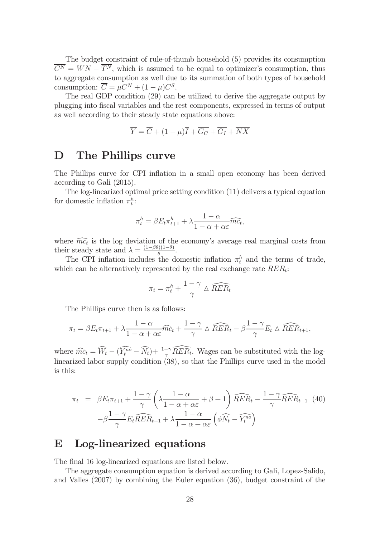The budget constraint of rule-of-thumb household (5) provides its consumption  $\overline{C^N} = \overline{WN} - \overline{T^N}$ , which is assumed to be equal to optimizer's consumption, thus to aggregate consumption as well due to its summation of both types of household consumption:  $\overline{C} = \mu \overline{C^N} + (1 - \mu) \overline{C^S}$ .

The real GDP condition (29) can be utilized to derive the aggregate output by plugging into fiscal variables and the rest components, expressed in terms of output as well according to their steady state equations above:

$$
\overline{Y} = \overline{C} + (1 - \mu)\overline{I} + \overline{G_C} + \overline{G_I} + \overline{NX}
$$

### D The Phillips curve

The Phillips curve for CPI inflation in a small open economy has been derived according to Gali (2015).

The log-linearized optimal price setting condition (11) delivers a typical equation for domestic inflation  $\pi_t^h$ :

$$
\pi_t^h = \beta E_t \pi_{t+1}^h + \lambda \frac{1 - \alpha}{1 - \alpha + \alpha \varepsilon} \widehat{mc_t},
$$

where  $\widehat{mc_t}$  is the log deviation of the economy's average real marginal costs from their steady state and  $\lambda = \frac{(1-\beta\theta)(1-\theta)}{\theta}$ .

The CPI inflation includes the domestic inflation  $\pi_t^h$  and the terms of trade, which can be alternatively represented by the real exchange rate  $RER_t$ :

$$
\pi_t = \pi_t^h + \frac{1 - \gamma}{\gamma} \Delta \widehat{RER_t}
$$

The Phillips curve then is as follows:

$$
\pi_t = \beta E_t \pi_{t+1} + \lambda \frac{1 - \alpha}{1 - \alpha + \alpha \varepsilon} \widehat{mc}_t + \frac{1 - \gamma}{\gamma} \Delta \widehat{RER}_t - \beta \frac{1 - \gamma}{\gamma} E_t \Delta \widehat{RER}_{t+1},
$$

where  $\widehat{mc}_t = \widehat{W}_t - (\widehat{Y}_t^{\widehat{no}} - \widehat{N}_t) + \frac{1-\gamma}{\gamma} \widehat{R} \widehat{ER}_t$ . Wages can be substituted with the loglinearized labor supply condition (38), so that the Phillips curve used in the model is this:

$$
\pi_t = \beta E_t \pi_{t+1} + \frac{1-\gamma}{\gamma} \left( \lambda \frac{1-\alpha}{1-\alpha+\alpha\varepsilon} + \beta + 1 \right) \widehat{RER}_t - \frac{1-\gamma}{\gamma} \widehat{RER}_{t-1} \tag{40}
$$

$$
-\beta \frac{1-\gamma}{\gamma} E_t \widehat{RER}_{t+1} + \lambda \frac{1-\alpha}{1-\alpha+\alpha\varepsilon} \left( \phi \widehat{N}_t - \widehat{Y}_t^{no} \right)
$$

### E Log-linearized equations

The final 16 log-linearized equations are listed below.

The aggregate consumption equation is derived according to Gali, Lopez-Salido, and Valles (2007) by combining the Euler equation (36), budget constraint of the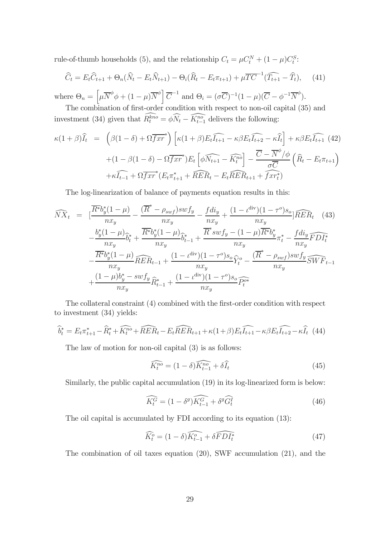rule-of-thumb households (5), and the relationship  $C_t = \mu C_t^N + (1 - \mu)C_t^S$ :

$$
\widehat{C}_t = E_t \widehat{C}_{t+1} + \Theta_n (\widehat{N}_t - E_t \widehat{N}_{t+1}) - \Theta_i (\widehat{R}_t - E_t \pi_{t+1}) + \mu \overline{TC}^{-1} (\widehat{T}_{t+1} - \widehat{T}_t), \quad (41)
$$

where  $\Theta_n = \left[ \mu \overline{N}^{\phi} \phi + (1 - \mu) \overline{N}^{\phi} \right] \overline{C}^{-1}$  and  $\Theta_i = (\sigma \overline{C})^{-1} (1 - \mu) (\overline{C} - \phi^{-1} \overline{N}^{\phi}).$ The combination of first-order condition with respect to non-oil capital (35) and

investment (34) given that  $R_t^{kno} = \phi N_t - \widetilde{K}_{t-1}^{no}$  delivers the following:

$$
\kappa(1+\beta)\widehat{I}_t = \left(\beta(1-\delta) + \Omega\overline{f}\overline{x}\overline{r}^*\right)\left[\kappa(1+\beta)E_t\widehat{I}_{t+1} - \kappa\beta E_t\widehat{I}_{t+2} - \kappa\widehat{I}_t\right] + \kappa\beta E_t\widehat{I}_{t+1} \tag{42}
$$
\n
$$
+ (1-\beta(1-\delta) - \Omega\overline{f}\overline{x}\overline{r}^*)E_t\left[\phi\widehat{N}_{t+1} - \widehat{K}_t^{n\delta}\right] - \frac{\overline{C} - \overline{N}^{\phi}/\phi}{\sigma\overline{C}}\left(\widehat{R}_t - E_t\pi_{t+1}\right)
$$
\n
$$
+ \kappa\widehat{I}_{t-1} + \Omega\overline{f}\overline{x}\overline{r}^*(E_t\pi_{t+1}^* + \widehat{R}\widehat{E}R_t - E_t\widehat{R}\widehat{E}R_{t+1} + \widehat{f}\overline{x}\overline{r}^*_t)
$$

The log-linearization of balance of payments equation results in this:

$$
\widehat{NX}_{t} = \left[ \frac{\overline{R^{*}} b_{y}^{*} (1 - \mu)}{nx_{y}} - \frac{(\overline{R^{*}} - \rho_{swf}) sw f_{y}}{nx_{y}} - \frac{f d i_{y}}{nx_{y}} + \frac{(1 - \iota^{\text{div}})(1 - \tau^{o}) s_{o}}{nx_{y}} \right] \widehat{RER}_{t} \quad (43)
$$
\n
$$
- \frac{b_{y}^{*} (1 - \mu)}{nx_{y}} \widehat{b}_{t}^{*} + \frac{\overline{R^{*}} b_{y}^{*} (1 - \mu)}{nx_{y}} \widehat{b}_{t-1}^{*} + \frac{\overline{R^{*}} sw f_{y}}{nx_{y}} - (1 - \mu) \overline{R^{*}} b_{y}^{*}}{nx_{y}} \pi_{t}^{*} - \frac{f d i_{y}}{nx_{y}} \widehat{FDI}_{t}^{*}
$$
\n
$$
- \frac{\overline{R^{*}} b_{y}^{*} (1 - \mu)}{nx_{y}} \widehat{RER}_{t-1} + \frac{(1 - \iota^{\text{div}})(1 - \tau^{o}) s_{o}}{nx_{y}} \widehat{Y}_{t}^{o} - \frac{(\overline{R^{*}} - \rho_{swf}) sw f_{y}}{nx_{y}} \widehat{SWF}_{t-1}
$$
\n
$$
+ \frac{(1 - \mu) b_{y}^{*} - sw f_{y}}{nx_{y}} \widehat{R}_{t-1}^{*} + \frac{(1 - \iota^{\text{div}})(1 - \tau^{o}) s_{o}}{nx_{y}} \widehat{P_{t}^{o*}}
$$

The collateral constraint  $(4)$  combined with the first-order condition with respect to investment (34) yields:

$$
\widehat{b}_t^* = E_t \pi_{t+1}^* - \widehat{R}_t^* + \widehat{K_t^{no}} + \widehat{RER}_t - E_t \widehat{RER}_{t+1} + \kappa (1+\beta) E_t \widehat{I_{t+1}} - \kappa \beta E_t \widehat{I_{t+2}} - \kappa \widehat{I}_t \tag{44}
$$

The law of motion for non-oil capital (3) is as follows:

$$
\widehat{K_t^{no}} = (1 - \delta)\widehat{K_{t-1}^{no}} + \delta\widehat{I}_t
$$
\n(45)

Similarly, the public capital accumulation (19) in its log-linearized form is below:

$$
\widehat{K_t^G} = (1 - \delta^g) \widehat{K_{t-1}^G} + \delta^g \widehat{G_t^I}
$$
\n(46)

The oil capital is accumulated by FDI according to its equation (13):

$$
\widehat{K_t^o} = (1 - \delta)\widehat{K_{t-1}^o} + \delta \widehat{FDI_t^*}
$$
\n(47)

The combination of oil taxes equation (20), SWF accumulation (21), and the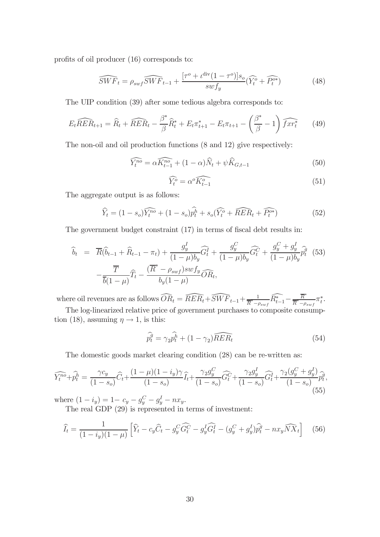profits of oil producer (16) corresponds to:

$$
\widehat{SWF}_t = \rho_{swf} \widehat{SWF}_{t-1} + \frac{[\tau^o + \iota^{\text{div}}(1 - \tau^o)]s_o}{swf_y} (\widehat{Y_t^o} + \widehat{P_t^{o*}})
$$
(48)

The UIP condition (39) after some tedious algebra corresponds to:

$$
E_t \widehat{RER}_{t+1} = \widehat{R}_t + \widehat{RER}_t - \frac{\beta^*}{\beta} \widehat{R}_t^* + E_t \pi_{t+1}^* - E_t \pi_{t+1} - \left(\frac{\beta^*}{\beta} - 1\right) \widehat{fxr_t^*}
$$
(49)

The non-oil and oil production functions (8 and 12) give respectively:

$$
\widehat{Y_t^{no}} = \alpha \widehat{K_{t-1}^{no}} + (1 - \alpha) \widehat{N}_t + \psi \widehat{K}_{G, t-1}
$$
\n
$$
\tag{50}
$$

$$
\widehat{Y_t^o} = \alpha^o \widehat{K_{t-1}^o}
$$
\n<sup>(51)</sup>

The aggregate output is as follows:

$$
\widehat{Y}_t = (1 - s_o)\widehat{Y_t^{no}} + (1 - s_o)\widehat{p_t^h} + s_o(\widehat{Y_t^o} + \widehat{RER}_t + \widehat{P_t^{o*}})
$$
(52)

The government budget constraint  $(17)$  in terms of fiscal debt results in:

$$
\hat{b}_t = \overline{R}(\hat{b}_{t-1} + \hat{R}_{t-1} - \pi_t) + \frac{g_y^I}{(1-\mu)b_y}\widehat{G}_t^I + \frac{g_y^C}{(1-\mu)b_y}\widehat{G}_t^C + \frac{g_y^C + g_y^I}{(1-\mu)b_y}\widehat{p}_t^{\hat{g}} \tag{53}
$$
\n
$$
-\frac{\overline{T}}{\overline{b}(1-\mu)}\widehat{T}_t - \frac{(\overline{R}^* - \rho_{swf})swf_y}{b_y(1-\mu)}\widehat{O}\widehat{R}_t,
$$

where oil revenues are as follows  $\widehat{OR}_t = \widehat{RER}_t + \widehat{SWF}_{t-1} + \frac{1}{\overline{R}^* - \rho_{swf}} \widehat{R}_{t-1}^* - \frac{\overline{R}^*}{\overline{R}^* - \rho_{swf}} \pi_t^*.$ 

The log-linearized relative price of government purchases to composite consumption (18), assuming  $\eta \rightarrow 1$ , is this:

$$
\widehat{p_t^g} = \gamma_2 \widehat{p_t^h} + (1 - \gamma_2) \widehat{RER_t}
$$
\n(54)

The domestic goods market clearing condition (28) can be re-written as:

$$
\widehat{Y_t^{no}} + \widehat{p_t^h} = \frac{\gamma c_y}{(1 - s_o)} \widehat{C}_t + \frac{(1 - \mu)(1 - i_y)\gamma}{(1 - s_o)} \widehat{I_t} + \frac{\gamma_2 g_y^C}{(1 - s_o)} \widehat{G}_t^C + \frac{\gamma_2 g_y^I}{(1 - s_o)} \widehat{G}_t^I + \frac{\gamma_2 (g_y^C + g_y^I)}{(1 - s_o)} \widehat{p_t^g},\tag{55}
$$

where  $(1 - i_y) = 1 - c_y - g_y^C - g_y^I - nx_y$ .

The real GDP (29) is represented in terms of investment:

$$
\widehat{I}_t = \frac{1}{(1 - i_y)(1 - \mu)} \left[ \widehat{Y}_t - c_y \widehat{C}_t - g_y^C \widehat{G}_t^C - g_y^I \widehat{G}_t^I - (g_y^C + g_y^I) \widehat{p}_t^g - n x_y \widehat{N} X_t \right]
$$
(56)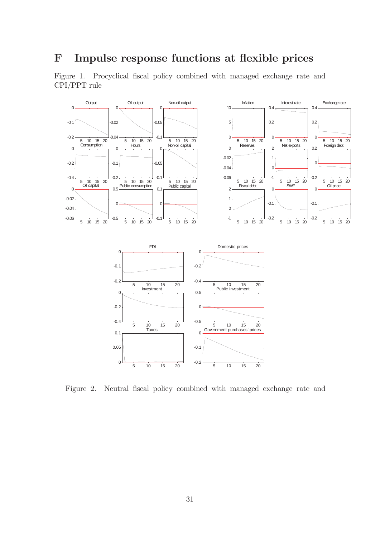## F Impulse response functions at flexible prices

Figure 1. Procyclical fiscal policy combined with managed exchange rate and CPI/PPT rule



Figure 2. Neutral fiscal policy combined with managed exchange rate and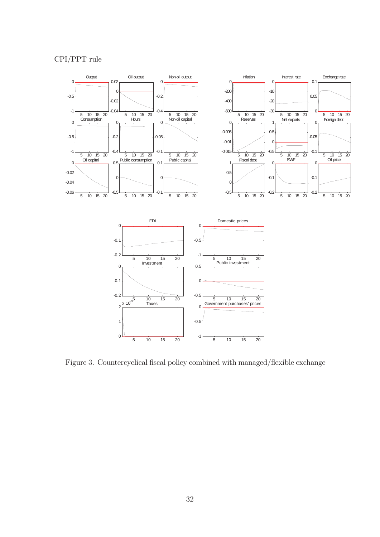#### CPI/PPT rule



Figure 3. Countercyclical fiscal policy combined with managed/flexible exchange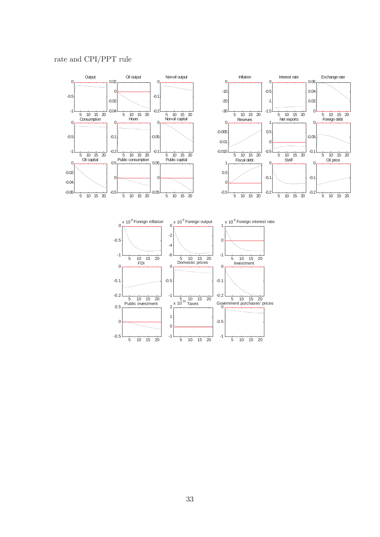#### rate and CPI/PPT rule

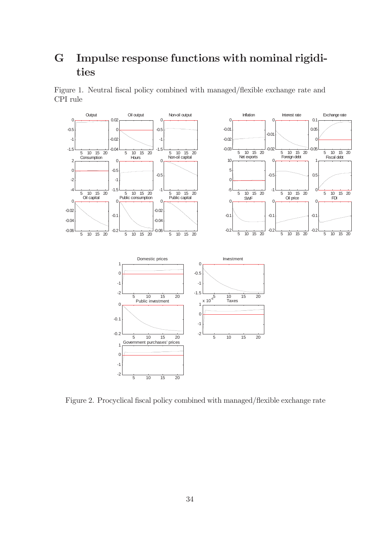## G Impulse response functions with nominal rigidities

Figure 1. Neutral fiscal policy combined with managed/flexible exchange rate and CPI rule



Figure 2. Procyclical fiscal policy combined with managed/flexible exchange rate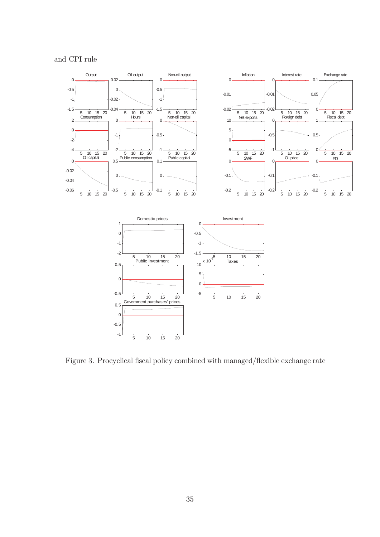

Figure 3. Procyclical fiscal policy combined with managed/flexible exchange rate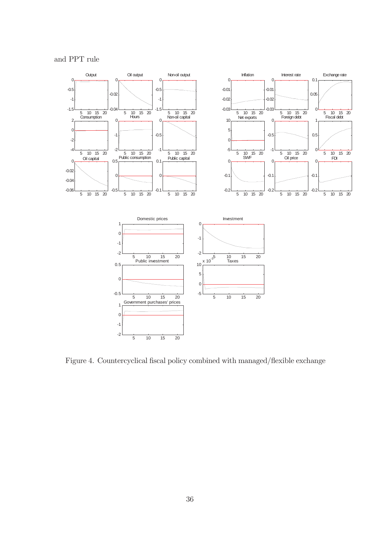

Figure 4. Countercyclical fiscal policy combined with managed/flexible exchange